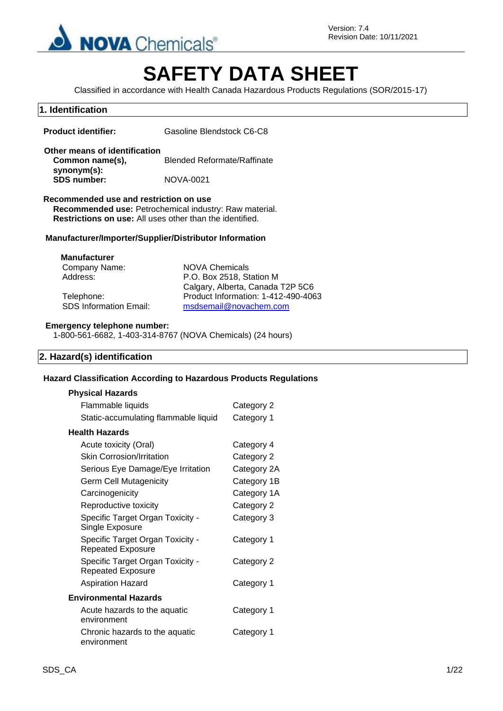

# **SAFETY DATA SHEET**

Classified in accordance with Health Canada Hazardous Products Regulations (SOR/2015-17)

### **1. Identification**

**Product identifier:** Gasoline Blendstock C6-C8

#### **Other means of identification Common name(s), synonym(s):** Blended Reformate/Raffinate **SDS number:** NOVA-0021

#### **Recommended use and restriction on use**

**Recommended use:** Petrochemical industry: Raw material. **Restrictions on use:** All uses other than the identified.

#### **Manufacturer/Importer/Supplier/Distributor Information**

| <b>Manufacturer</b>           |                                     |
|-------------------------------|-------------------------------------|
| Company Name:                 | NOVA Chemicals                      |
| Address:                      | P.O. Box 2518, Station M            |
|                               | Calgary, Alberta, Canada T2P 5C6    |
| Telephone:                    | Product Information: 1-412-490-4063 |
| <b>SDS Information Email:</b> | msdsemail@novachem.com              |

#### **Emergency telephone number:**

1-800-561-6682, 1-403-314-8767 (NOVA Chemicals) (24 hours)

#### **2. Hazard(s) identification**

#### **Hazard Classification According to Hazardous Products Regulations**

| <b>Physical Hazards</b>                                      |             |
|--------------------------------------------------------------|-------------|
| Flammable liquids                                            | Category 2  |
| Static-accumulating flammable liquid                         | Category 1  |
| Health Hazards                                               |             |
| Acute toxicity (Oral)                                        | Category 4  |
| <b>Skin Corrosion/Irritation</b>                             | Category 2  |
| Serious Eye Damage/Eye Irritation                            | Category 2A |
| <b>Germ Cell Mutagenicity</b>                                | Category 1B |
| Carcinogenicity                                              | Category 1A |
| Reproductive toxicity                                        | Category 2  |
| Specific Target Organ Toxicity -<br>Single Exposure          | Category 3  |
| Specific Target Organ Toxicity -<br><b>Repeated Exposure</b> | Category 1  |
| Specific Target Organ Toxicity -<br><b>Repeated Exposure</b> | Category 2  |
| <b>Aspiration Hazard</b>                                     | Category 1  |
| <b>Environmental Hazards</b>                                 |             |
| Acute hazards to the aquatic<br>environment                  | Category 1  |
| Chronic hazards to the aquatic<br>environment                | Category 1  |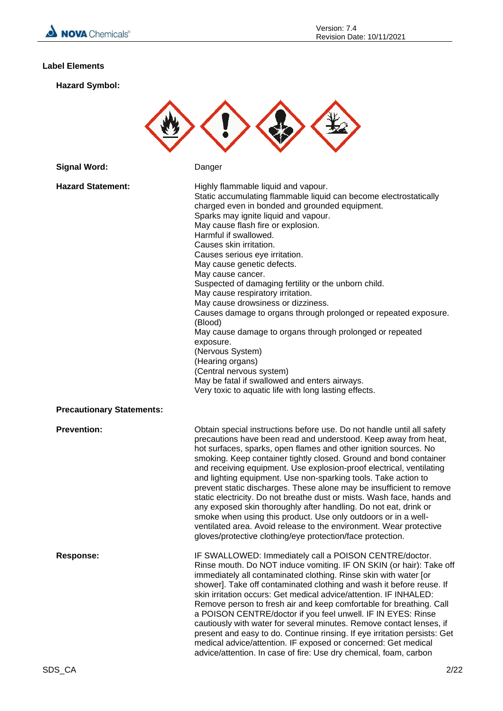

#### **Label Elements**

**Hazard Symbol:**



| <b>Signal Word:</b>              | Danger                                                                                                                                                                                                                                                                                                                                                                                                                                                                                                                                                                                                                                                                                                                                                                                                                                                    |
|----------------------------------|-----------------------------------------------------------------------------------------------------------------------------------------------------------------------------------------------------------------------------------------------------------------------------------------------------------------------------------------------------------------------------------------------------------------------------------------------------------------------------------------------------------------------------------------------------------------------------------------------------------------------------------------------------------------------------------------------------------------------------------------------------------------------------------------------------------------------------------------------------------|
| <b>Hazard Statement:</b>         | Highly flammable liquid and vapour.<br>Static accumulating flammable liquid can become electrostatically<br>charged even in bonded and grounded equipment.<br>Sparks may ignite liquid and vapour.<br>May cause flash fire or explosion.<br>Harmful if swallowed.<br>Causes skin irritation.<br>Causes serious eye irritation.<br>May cause genetic defects.<br>May cause cancer.<br>Suspected of damaging fertility or the unborn child.<br>May cause respiratory irritation.<br>May cause drowsiness or dizziness.<br>Causes damage to organs through prolonged or repeated exposure.<br>(Blood)<br>May cause damage to organs through prolonged or repeated<br>exposure.<br>(Nervous System)<br>(Hearing organs)<br>(Central nervous system)<br>May be fatal if swallowed and enters airways.<br>Very toxic to aquatic life with long lasting effects. |
| <b>Precautionary Statements:</b> |                                                                                                                                                                                                                                                                                                                                                                                                                                                                                                                                                                                                                                                                                                                                                                                                                                                           |
| <b>Prevention:</b>               | Obtain special instructions before use. Do not handle until all safety<br>precautions have been read and understood. Keep away from heat,<br>hot surfaces, sparks, open flames and other ignition sources. No<br>smoking. Keep container tightly closed. Ground and bond container<br>and receiving equipment. Use explosion-proof electrical, ventilating<br>and lighting equipment. Use non-sparking tools. Take action to<br>prevent static discharges. These alone may be insufficient to remove<br>static electricity. Do not breathe dust or mists. Wash face, hands and<br>any exposed skin thoroughly after handling. Do not eat, drink or<br>smoke when using this product. Use only outdoors or in a well-<br>ventilated area. Avoid release to the environment. Wear protective<br>gloves/protective clothing/eye protection/face protection.  |
| <b>Response:</b>                 | IF SWALLOWED: Immediately call a POISON CENTRE/doctor.<br>Rinse mouth. Do NOT induce vomiting. IF ON SKIN (or hair): Take off<br>immediately all contaminated clothing. Rinse skin with water [or<br>shower]. Take off contaminated clothing and wash it before reuse. If<br>skin irritation occurs: Get medical advice/attention. IF INHALED:<br>Remove person to fresh air and keep comfortable for breathing. Call<br>a POISON CENTRE/doctor if you feel unwell. IF IN EYES: Rinse<br>cautiously with water for several minutes. Remove contact lenses, if<br>present and easy to do. Continue rinsing. If eye irritation persists: Get<br>medical advice/attention. IF exposed or concerned: Get medical<br>advice/attention. In case of fire: Use dry chemical, foam, carbon                                                                         |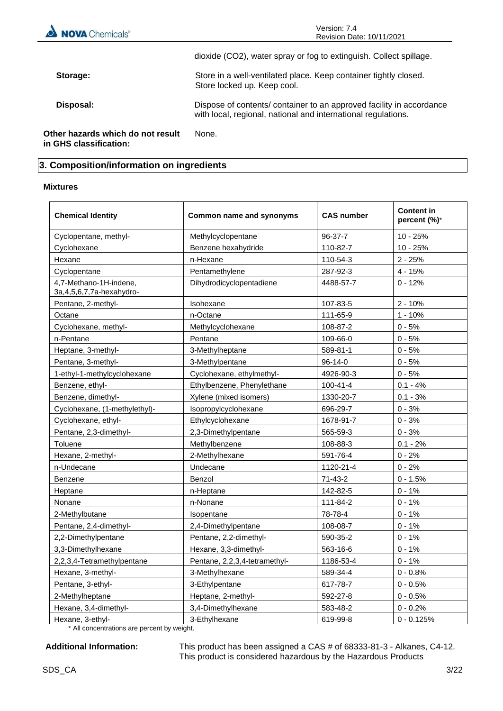| NOVA Chemicals <sup>®</sup>                                 | Version: 7.4<br>Revision Date: 10/11/2021                                                                                             |  |  |  |
|-------------------------------------------------------------|---------------------------------------------------------------------------------------------------------------------------------------|--|--|--|
|                                                             | dioxide (CO2), water spray or fog to extinguish. Collect spillage.                                                                    |  |  |  |
| Storage:                                                    | Store in a well-ventilated place. Keep container tightly closed.<br>Store locked up. Keep cool.                                       |  |  |  |
| Disposal:                                                   | Dispose of contents/ container to an approved facility in accordance<br>with local, regional, national and international regulations. |  |  |  |
| Other hazards which do not result<br>in GHS classification: | None.                                                                                                                                 |  |  |  |

## **3. Composition/information on ingredients**

#### **Mixtures**

| <b>Chemical Identity</b>                                | <b>Common name and synonyms</b> | <b>CAS number</b> | <b>Content in</b><br>percent (%)* |
|---------------------------------------------------------|---------------------------------|-------------------|-----------------------------------|
| Cyclopentane, methyl-                                   | Methylcyclopentane              | 96-37-7           | $10 - 25%$                        |
| Cyclohexane                                             | Benzene hexahydride             | 110-82-7          | $10 - 25%$                        |
| Hexane                                                  | n-Hexane                        | 110-54-3          | $2 - 25%$                         |
| Cyclopentane                                            | Pentamethylene                  | 287-92-3          | $4 - 15%$                         |
| 4,7-Methano-1H-indene,<br>3a, 4, 5, 6, 7, 7a-hexahydro- | Dihydrodicyclopentadiene        | 4488-57-7         | $0 - 12%$                         |
| Pentane, 2-methyl-                                      | Isohexane                       | 107-83-5          | $2 - 10%$                         |
| Octane                                                  | n-Octane                        | 111-65-9          | $1 - 10%$                         |
| Cyclohexane, methyl-                                    | Methylcyclohexane               | 108-87-2          | $0 - 5%$                          |
| n-Pentane                                               | Pentane                         | 109-66-0          | $0 - 5%$                          |
| Heptane, 3-methyl-                                      | 3-Methylheptane                 | 589-81-1          | $0 - 5%$                          |
| Pentane, 3-methyl-                                      | 3-Methylpentane                 | $96 - 14 - 0$     | $0 - 5%$                          |
| 1-ethyl-1-methylcyclohexane                             | Cyclohexane, ethylmethyl-       | 4926-90-3         | $0 - 5%$                          |
| Benzene, ethyl-                                         | Ethylbenzene, Phenylethane      | $100 - 41 - 4$    | $0.1 - 4%$                        |
| Benzene, dimethyl-                                      | Xylene (mixed isomers)          | 1330-20-7         | $0.1 - 3%$                        |
| Cyclohexane, (1-methylethyl)-                           | Isopropylcyclohexane            | 696-29-7          | $0 - 3%$                          |
| Cyclohexane, ethyl-                                     | Ethylcyclohexane                | 1678-91-7         | $0 - 3%$                          |
| Pentane, 2,3-dimethyl-                                  | 2,3-Dimethylpentane             | 565-59-3          | $0 - 3%$                          |
| Toluene                                                 | Methylbenzene                   | 108-88-3          | $0.1 - 2%$                        |
| Hexane, 2-methyl-                                       | 2-Methylhexane                  | 591-76-4          | $0 - 2%$                          |
| n-Undecane                                              | Undecane                        | 1120-21-4         | $0 - 2%$                          |
| Benzene                                                 | Benzol                          | 71-43-2           | $0 - 1.5%$                        |
| Heptane                                                 | n-Heptane                       | 142-82-5          | $0 - 1%$                          |
| Nonane                                                  | n-Nonane                        | 111-84-2          | $0 - 1%$                          |
| 2-Methylbutane                                          | Isopentane                      | 78-78-4           | $0 - 1%$                          |
| Pentane, 2,4-dimethyl-                                  | 2,4-Dimethylpentane             | 108-08-7          | $0 - 1%$                          |
| 2,2-Dimethylpentane                                     | Pentane, 2,2-dimethyl-          | 590-35-2          | $0 - 1%$                          |
| 3,3-Dimethylhexane                                      | Hexane, 3,3-dimethyl-           | 563-16-6          | $0 - 1%$                          |
| 2,2,3,4-Tetramethylpentane                              | Pentane, 2,2,3,4-tetramethyl-   | 1186-53-4         | $0 - 1%$                          |
| Hexane, 3-methyl-                                       | 3-Methylhexane                  | 589-34-4          | $0 - 0.8%$                        |
| Pentane, 3-ethyl-                                       | 3-Ethylpentane                  | 617-78-7          | $0 - 0.5%$                        |
| 2-Methylheptane                                         | Heptane, 2-methyl-              | 592-27-8          | $0 - 0.5%$                        |
| Hexane, 3,4-dimethyl-                                   | 3,4-Dimethylhexane              | 583-48-2          | $0 - 0.2%$                        |
| Hexane, 3-ethyl-                                        | 3-Ethylhexane                   | 619-99-8          | $0 - 0.125%$                      |

\* All concentrations are percent by weight.

**Additional Information:** This product has been assigned a CAS # of 68333-81-3 - Alkanes, C4-12. This product is considered hazardous by the Hazardous Products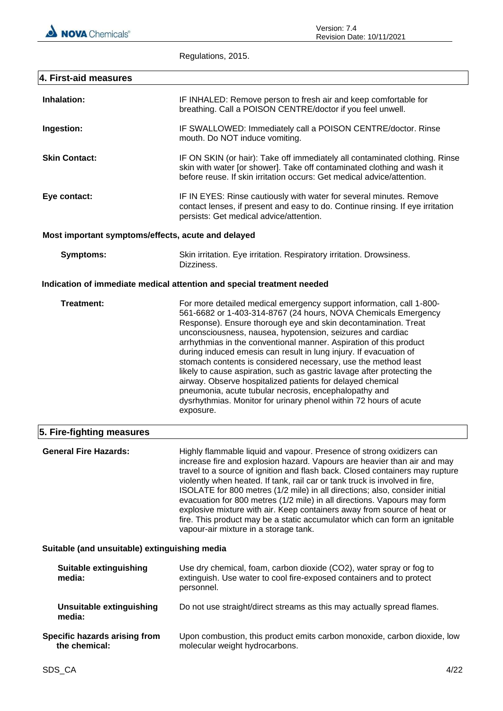

Regulations, 2015.

| 4. First-aid measures                              |                                                                                                                                                                                                                                                                                                                                                                                                                                                                                                                                                                                                                                                                                                                                                                         |
|----------------------------------------------------|-------------------------------------------------------------------------------------------------------------------------------------------------------------------------------------------------------------------------------------------------------------------------------------------------------------------------------------------------------------------------------------------------------------------------------------------------------------------------------------------------------------------------------------------------------------------------------------------------------------------------------------------------------------------------------------------------------------------------------------------------------------------------|
| Inhalation:                                        | IF INHALED: Remove person to fresh air and keep comfortable for<br>breathing. Call a POISON CENTRE/doctor if you feel unwell.                                                                                                                                                                                                                                                                                                                                                                                                                                                                                                                                                                                                                                           |
| Ingestion:                                         | IF SWALLOWED: Immediately call a POISON CENTRE/doctor. Rinse<br>mouth. Do NOT induce vomiting.                                                                                                                                                                                                                                                                                                                                                                                                                                                                                                                                                                                                                                                                          |
| <b>Skin Contact:</b>                               | IF ON SKIN (or hair): Take off immediately all contaminated clothing. Rinse<br>skin with water [or shower]. Take off contaminated clothing and wash it<br>before reuse. If skin irritation occurs: Get medical advice/attention.                                                                                                                                                                                                                                                                                                                                                                                                                                                                                                                                        |
| Eye contact:                                       | IF IN EYES: Rinse cautiously with water for several minutes. Remove<br>contact lenses, if present and easy to do. Continue rinsing. If eye irritation<br>persists: Get medical advice/attention.                                                                                                                                                                                                                                                                                                                                                                                                                                                                                                                                                                        |
| Most important symptoms/effects, acute and delayed |                                                                                                                                                                                                                                                                                                                                                                                                                                                                                                                                                                                                                                                                                                                                                                         |
| <b>Symptoms:</b>                                   | Skin irritation. Eye irritation. Respiratory irritation. Drowsiness.<br>Dizziness.                                                                                                                                                                                                                                                                                                                                                                                                                                                                                                                                                                                                                                                                                      |
|                                                    | Indication of immediate medical attention and special treatment needed                                                                                                                                                                                                                                                                                                                                                                                                                                                                                                                                                                                                                                                                                                  |
| <b>Treatment:</b>                                  | For more detailed medical emergency support information, call 1-800-<br>561-6682 or 1-403-314-8767 (24 hours, NOVA Chemicals Emergency<br>Response). Ensure thorough eye and skin decontamination. Treat<br>unconsciousness, nausea, hypotension, seizures and cardiac<br>arrhythmias in the conventional manner. Aspiration of this product<br>during induced emesis can result in lung injury. If evacuation of<br>stomach contents is considered necessary, use the method least<br>likely to cause aspiration, such as gastric lavage after protecting the<br>airway. Observe hospitalized patients for delayed chemical<br>pneumonia, acute tubular necrosis, encephalopathy and<br>dysrhythmias. Monitor for urinary phenol within 72 hours of acute<br>exposure. |
| 5. Fire-fighting measures                          |                                                                                                                                                                                                                                                                                                                                                                                                                                                                                                                                                                                                                                                                                                                                                                         |
| <b>General Fire Hazards:</b>                       | Highly flammable liquid and vapour. Presence of strong oxidizers can<br>increase fire and explosion hazard. Vapours are heavier than air and may<br>travel to a source of ignition and flash back. Closed containers may rupture<br>violently when heated. If tank, rail car or tank truck is involved in fire,<br>ISOLATE for 800 metres (1/2 mile) in all directions; also, consider initial<br>evacuation for 800 metres (1/2 mile) in all directions. Vapours may form<br>explosive mixture with air. Keep containers away from source of heat or<br>fire. This product may be a static accumulator which can form an ignitable<br>vapour-air mixture in a storage tank.                                                                                            |
| Suitable (and unsuitable) extinguishing media      |                                                                                                                                                                                                                                                                                                                                                                                                                                                                                                                                                                                                                                                                                                                                                                         |
| <b>Suitable extinguishing</b><br>media:            | Use dry chemical, foam, carbon dioxide (CO2), water spray or fog to<br>extinguish. Use water to cool fire-exposed containers and to protect<br>personnel.                                                                                                                                                                                                                                                                                                                                                                                                                                                                                                                                                                                                               |
| <b>Unsuitable extinguishing</b><br>media:          | Do not use straight/direct streams as this may actually spread flames.                                                                                                                                                                                                                                                                                                                                                                                                                                                                                                                                                                                                                                                                                                  |
| Specific hazards arising from<br>the chemical:     | Upon combustion, this product emits carbon monoxide, carbon dioxide, low<br>molecular weight hydrocarbons.                                                                                                                                                                                                                                                                                                                                                                                                                                                                                                                                                                                                                                                              |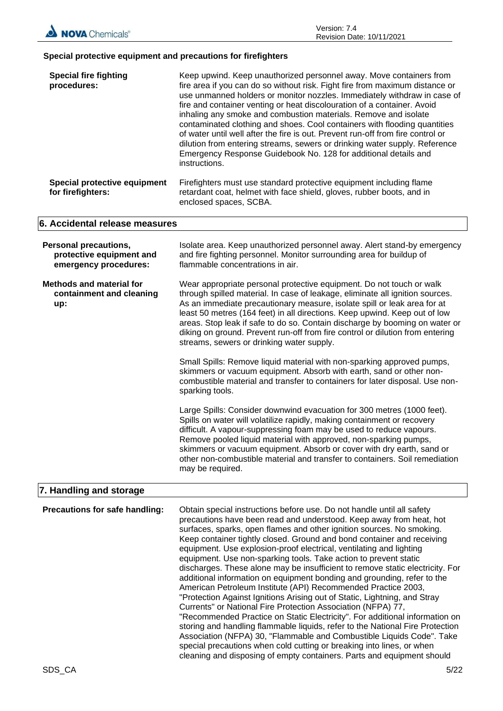#### **Special protective equipment and precautions for firefighters**

| <b>Special fire fighting</b><br>procedures:                                       | Keep upwind. Keep unauthorized personnel away. Move containers from<br>fire area if you can do so without risk. Fight fire from maximum distance or<br>use unmanned holders or monitor nozzles. Immediately withdraw in case of<br>fire and container venting or heat discolouration of a container. Avoid<br>inhaling any smoke and combustion materials. Remove and isolate<br>contaminated clothing and shoes. Cool containers with flooding quantities<br>of water until well after the fire is out. Prevent run-off from fire control or<br>dilution from entering streams, sewers or drinking water supply. Reference<br>Emergency Response Guidebook No. 128 for additional details and<br>instructions. |
|-----------------------------------------------------------------------------------|-----------------------------------------------------------------------------------------------------------------------------------------------------------------------------------------------------------------------------------------------------------------------------------------------------------------------------------------------------------------------------------------------------------------------------------------------------------------------------------------------------------------------------------------------------------------------------------------------------------------------------------------------------------------------------------------------------------------|
| Special protective equipment<br>for firefighters:                                 | Firefighters must use standard protective equipment including flame<br>retardant coat, helmet with face shield, gloves, rubber boots, and in<br>enclosed spaces, SCBA.                                                                                                                                                                                                                                                                                                                                                                                                                                                                                                                                          |
| 6. Accidental release measures                                                    |                                                                                                                                                                                                                                                                                                                                                                                                                                                                                                                                                                                                                                                                                                                 |
| <b>Personal precautions,</b><br>protective equipment and<br>emergency procedures: | Isolate area. Keep unauthorized personnel away. Alert stand-by emergency<br>and fire fighting personnel. Monitor surrounding area for buildup of<br>flammable concentrations in air.                                                                                                                                                                                                                                                                                                                                                                                                                                                                                                                            |
| <b>Methods and material for</b><br>containment and cleaning<br>up:                | Wear appropriate personal protective equipment. Do not touch or walk<br>through spilled material. In case of leakage, eliminate all ignition sources.<br>As an immediate precautionary measure, isolate spill or leak area for at<br>least 50 metres (164 feet) in all directions. Keep upwind. Keep out of low<br>areas. Stop leak if safe to do so. Contain discharge by booming on water or<br>diking on ground. Prevent run-off from fire control or dilution from entering<br>streams, sewers or drinking water supply.                                                                                                                                                                                    |
|                                                                                   | Small Spills: Remove liquid material with non-sparking approved pumps,<br>skimmers or vacuum equipment. Absorb with earth, sand or other non-<br>combustible material and transfer to containers for later disposal. Use non-<br>sparking tools.                                                                                                                                                                                                                                                                                                                                                                                                                                                                |
|                                                                                   | Large Spills: Consider downwind evacuation for 300 metres (1000 feet).<br>Spills on water will volatilize rapidly, making containment or recovery<br>difficult. A vapour-suppressing foam may be used to reduce vapours.<br>Remove pooled liquid material with approved, non-sparking pumps,<br>skimmers or vacuum equipment. Absorb or cover with dry earth, sand or<br>other non-combustible material and transfer to containers. Soil remediation<br>may be required.                                                                                                                                                                                                                                        |
| 7. Handling and storage                                                           |                                                                                                                                                                                                                                                                                                                                                                                                                                                                                                                                                                                                                                                                                                                 |
| Precautions for safe handling:                                                    | Obtain special instructions before use. Do not handle until all safety<br>precautions have been read and understood. Keep away from heat, hot<br>surfaces, sparks, open flames and other ignition sources. No smoking.                                                                                                                                                                                                                                                                                                                                                                                                                                                                                          |

Keep container tightly closed. Ground and bond container and receiving equipment. Use explosion-proof electrical, ventilating and lighting equipment. Use non-sparking tools. Take action to prevent static discharges. These alone may be insufficient to remove static electricity. For additional information on equipment bonding and grounding, refer to the American Petroleum Institute (API) Recommended Practice 2003, "Protection Against Ignitions Arising out of Static, Lightning, and Stray Currents" or National Fire Protection Association (NFPA) 77, "Recommended Practice on Static Electricity". For additional information on storing and handling flammable liquids, refer to the National Fire Protection Association (NFPA) 30, "Flammable and Combustible Liquids Code". Take special precautions when cold cutting or breaking into lines, or when cleaning and disposing of empty containers. Parts and equipment should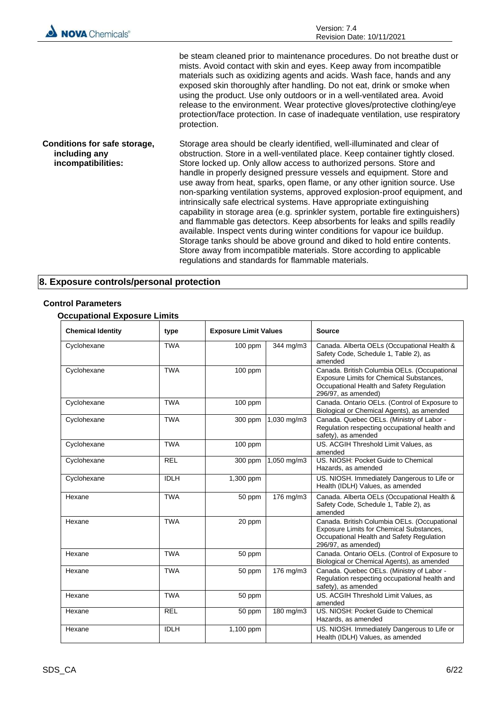| <b>NOVA</b> Chemicals®                                              | Version: 7.4<br>Revision Date: 10/11/2021                                                                                                                                                                                                                                                                                                                                                                                                                                                                                                                                                                                                                                                                                                                                                                                                                                                                                                                                                           |
|---------------------------------------------------------------------|-----------------------------------------------------------------------------------------------------------------------------------------------------------------------------------------------------------------------------------------------------------------------------------------------------------------------------------------------------------------------------------------------------------------------------------------------------------------------------------------------------------------------------------------------------------------------------------------------------------------------------------------------------------------------------------------------------------------------------------------------------------------------------------------------------------------------------------------------------------------------------------------------------------------------------------------------------------------------------------------------------|
|                                                                     | be steam cleaned prior to maintenance procedures. Do not breathe dust or<br>mists. Avoid contact with skin and eyes. Keep away from incompatible<br>materials such as oxidizing agents and acids. Wash face, hands and any<br>exposed skin thoroughly after handling. Do not eat, drink or smoke when<br>using the product. Use only outdoors or in a well-ventilated area. Avoid<br>release to the environment. Wear protective gloves/protective clothing/eye<br>protection/face protection. In case of inadequate ventilation, use respiratory<br>protection.                                                                                                                                                                                                                                                                                                                                                                                                                                    |
| Conditions for safe storage,<br>including any<br>incompatibilities: | Storage area should be clearly identified, well-illuminated and clear of<br>obstruction. Store in a well-ventilated place. Keep container tightly closed.<br>Store locked up. Only allow access to authorized persons. Store and<br>handle in properly designed pressure vessels and equipment. Store and<br>use away from heat, sparks, open flame, or any other ignition source. Use<br>non-sparking ventilation systems, approved explosion-proof equipment, and<br>intrinsically safe electrical systems. Have appropriate extinguishing<br>capability in storage area (e.g. sprinkler system, portable fire extinguishers)<br>and flammable gas detectors. Keep absorbents for leaks and spills readily<br>available. Inspect vents during winter conditions for vapour ice buildup.<br>Storage tanks should be above ground and diked to hold entire contents.<br>Store away from incompatible materials. Store according to applicable<br>regulations and standards for flammable materials. |

## **8. Exposure controls/personal protection**

### **Control Parameters**

## **Occupational Exposure Limits**

| <b>Chemical Identity</b> | type        | <b>Exposure Limit Values</b> |             | <b>Source</b>                                                                                                                                                |
|--------------------------|-------------|------------------------------|-------------|--------------------------------------------------------------------------------------------------------------------------------------------------------------|
| Cyclohexane              | <b>TWA</b>  | 100 ppm                      | 344 mg/m3   | Canada. Alberta OELs (Occupational Health &<br>Safety Code, Schedule 1, Table 2), as<br>amended                                                              |
| Cyclohexane              | <b>TWA</b>  | $100$ ppm                    |             | Canada. British Columbia OELs. (Occupational<br>Exposure Limits for Chemical Substances,<br>Occupational Health and Safety Regulation<br>296/97, as amended) |
| Cyclohexane              | <b>TWA</b>  | $100$ ppm                    |             | Canada. Ontario OELs. (Control of Exposure to<br>Biological or Chemical Agents), as amended                                                                  |
| Cyclohexane              | <b>TWA</b>  | 300 ppm                      | 1,030 mg/m3 | Canada. Quebec OELs. (Ministry of Labor -<br>Regulation respecting occupational health and<br>safety), as amended                                            |
| Cyclohexane              | <b>TWA</b>  | 100 ppm                      |             | US. ACGIH Threshold Limit Values, as<br>amended                                                                                                              |
| Cyclohexane              | <b>REL</b>  | $300$ ppm                    | 1,050 mg/m3 | US. NIOSH: Pocket Guide to Chemical<br>Hazards, as amended                                                                                                   |
| Cyclohexane              | <b>IDLH</b> | 1,300 ppm                    |             | US. NIOSH. Immediately Dangerous to Life or<br>Health (IDLH) Values, as amended                                                                              |
| Hexane                   | <b>TWA</b>  | 50 ppm                       | 176 mg/m3   | Canada. Alberta OELs (Occupational Health &<br>Safety Code, Schedule 1, Table 2), as<br>amended                                                              |
| Hexane                   | <b>TWA</b>  | 20 ppm                       |             | Canada. British Columbia OELs. (Occupational<br>Exposure Limits for Chemical Substances,<br>Occupational Health and Safety Regulation<br>296/97, as amended) |
| Hexane                   | <b>TWA</b>  | 50 ppm                       |             | Canada. Ontario OELs. (Control of Exposure to<br>Biological or Chemical Agents), as amended                                                                  |
| Hexane                   | <b>TWA</b>  | 50 ppm                       | 176 mg/m3   | Canada. Quebec OELs. (Ministry of Labor -<br>Regulation respecting occupational health and<br>safety), as amended                                            |
| Hexane                   | <b>TWA</b>  | 50 ppm                       |             | US. ACGIH Threshold Limit Values, as<br>amended                                                                                                              |
| Hexane                   | <b>REL</b>  | 50 ppm                       | 180 mg/m3   | US. NIOSH: Pocket Guide to Chemical<br>Hazards, as amended                                                                                                   |
| Hexane                   | <b>IDLH</b> | 1,100 ppm                    |             | US. NIOSH. Immediately Dangerous to Life or<br>Health (IDLH) Values, as amended                                                                              |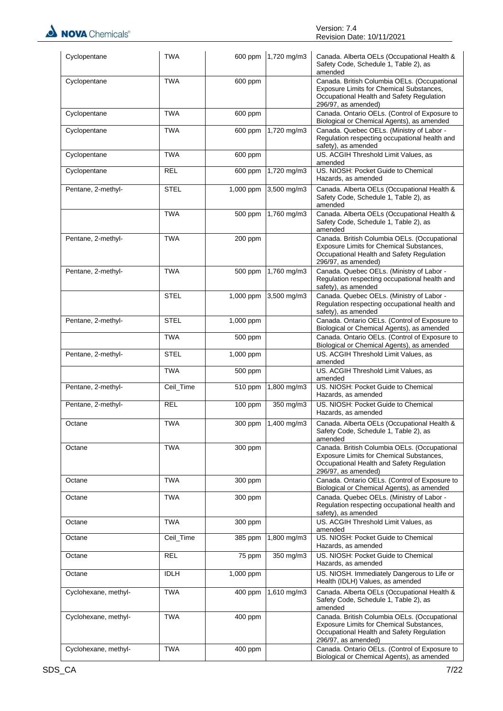| Cyclopentane         | <b>TWA</b>  |             | 600 ppm 1,720 mg/m3 | Canada. Alberta OELs (Occupational Health &<br>Safety Code, Schedule 1, Table 2), as<br>amended                                                              |
|----------------------|-------------|-------------|---------------------|--------------------------------------------------------------------------------------------------------------------------------------------------------------|
| Cyclopentane         | <b>TWA</b>  | 600 ppm     |                     | Canada. British Columbia OELs. (Occupational<br>Exposure Limits for Chemical Substances,<br>Occupational Health and Safety Regulation<br>296/97, as amended) |
| Cyclopentane         | <b>TWA</b>  | 600 ppm     |                     | Canada. Ontario OELs. (Control of Exposure to<br>Biological or Chemical Agents), as amended                                                                  |
| Cyclopentane         | <b>TWA</b>  | 600 ppm     | 1,720 mg/m3         | Canada. Quebec OELs. (Ministry of Labor -<br>Regulation respecting occupational health and<br>safety), as amended                                            |
| Cyclopentane         | <b>TWA</b>  | 600 ppm     |                     | US. ACGIH Threshold Limit Values, as<br>amended                                                                                                              |
| Cyclopentane         | <b>REL</b>  | 600 ppm     | 1,720 mg/m3         | US. NIOSH: Pocket Guide to Chemical<br>Hazards, as amended                                                                                                   |
| Pentane, 2-methyl-   | <b>STEL</b> | 1,000 ppm   | 3,500 mg/m3         | Canada. Alberta OELs (Occupational Health &<br>Safety Code, Schedule 1, Table 2), as<br>amended                                                              |
|                      | <b>TWA</b>  | 500 ppm     | 1,760 mg/m3         | Canada. Alberta OELs (Occupational Health &<br>Safety Code, Schedule 1, Table 2), as<br>amended                                                              |
| Pentane, 2-methyl-   | <b>TWA</b>  | 200 ppm     |                     | Canada. British Columbia OELs. (Occupational<br>Exposure Limits for Chemical Substances,<br>Occupational Health and Safety Regulation<br>296/97, as amended) |
| Pentane, 2-methyl-   | <b>TWA</b>  | 500 ppm     | 1,760 mg/m3         | Canada. Quebec OELs. (Ministry of Labor -<br>Regulation respecting occupational health and<br>safety), as amended                                            |
|                      | <b>STEL</b> | 1,000 ppm   | 3,500 mg/m3         | Canada. Quebec OELs. (Ministry of Labor -<br>Regulation respecting occupational health and<br>safety), as amended                                            |
| Pentane, 2-methyl-   | <b>STEL</b> | 1,000 ppm   |                     | Canada. Ontario OELs. (Control of Exposure to<br>Biological or Chemical Agents), as amended                                                                  |
|                      | <b>TWA</b>  | 500 ppm     |                     | Canada. Ontario OELs. (Control of Exposure to<br>Biological or Chemical Agents), as amended                                                                  |
| Pentane, 2-methyl-   | <b>STEL</b> | 1,000 ppm   |                     | US. ACGIH Threshold Limit Values, as<br>amended                                                                                                              |
|                      | <b>TWA</b>  | 500 ppm     |                     | US. ACGIH Threshold Limit Values, as<br>amended                                                                                                              |
| Pentane, 2-methyl-   | Ceil_Time   | 510 ppm     | 1,800 mg/m3         | US. NIOSH: Pocket Guide to Chemical<br>Hazards, as amended                                                                                                   |
| Pentane, 2-methyl-   | <b>REL</b>  | 100 ppm     | $350$ mg/m3         | US. NIOSH: Pocket Guide to Chemical<br>Hazards, as amended                                                                                                   |
| Octane               | TWA         | 300 ppm     | 1,400 mg/m3         | Canada, Alberta OELs (Occupational Health &<br>Safety Code, Schedule 1, Table 2), as<br>amended                                                              |
| Octane               | <b>TWA</b>  | 300 ppm     |                     | Canada. British Columbia OELs. (Occupational<br>Exposure Limits for Chemical Substances,<br>Occupational Health and Safety Regulation<br>296/97, as amended) |
| Octane               | <b>TWA</b>  | 300 ppm     |                     | Canada. Ontario OELs. (Control of Exposure to<br>Biological or Chemical Agents), as amended                                                                  |
| Octane               | <b>TWA</b>  | 300 ppm     |                     | Canada. Quebec OELs. (Ministry of Labor -<br>Regulation respecting occupational health and<br>safety), as amended                                            |
| Octane               | <b>TWA</b>  | 300 ppm     |                     | US. ACGIH Threshold Limit Values, as<br>amended                                                                                                              |
| Octane               | Ceil_Time   | 385 ppm     | 1,800 mg/m3         | US. NIOSH: Pocket Guide to Chemical<br>Hazards, as amended                                                                                                   |
| Octane               | <b>REL</b>  | 75 ppm      | $350$ mg/m3         | US. NIOSH: Pocket Guide to Chemical<br>Hazards, as amended                                                                                                   |
| Octane               | <b>IDLH</b> | $1,000$ ppm |                     | US. NIOSH. Immediately Dangerous to Life or<br>Health (IDLH) Values, as amended                                                                              |
| Cyclohexane, methyl- | <b>TWA</b>  | 400 ppm     | 1,610 mg/m3         | Canada. Alberta OELs (Occupational Health &<br>Safety Code, Schedule 1, Table 2), as<br>amended                                                              |
| Cyclohexane, methyl- | <b>TWA</b>  | 400 ppm     |                     | Canada. British Columbia OELs. (Occupational<br>Exposure Limits for Chemical Substances,<br>Occupational Health and Safety Regulation<br>296/97, as amended) |
| Cyclohexane, methyl- | <b>TWA</b>  | 400 ppm     |                     | Canada. Ontario OELs. (Control of Exposure to<br>Biological or Chemical Agents), as amended                                                                  |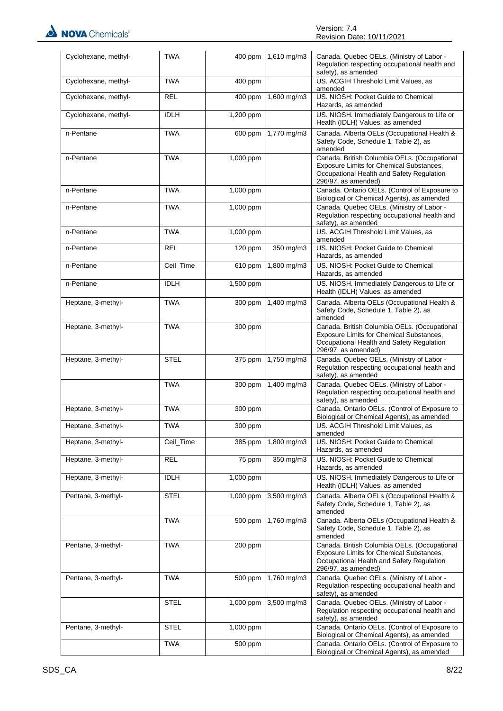| Cyclohexane, methyl- | <b>TWA</b>  |             | 400 ppm 1,610 mg/m3 | Canada. Quebec OELs. (Ministry of Labor -<br>Regulation respecting occupational health and<br>safety), as amended                                            |
|----------------------|-------------|-------------|---------------------|--------------------------------------------------------------------------------------------------------------------------------------------------------------|
| Cyclohexane, methyl- | <b>TWA</b>  | 400 ppm     |                     | US. ACGIH Threshold Limit Values, as<br>amended                                                                                                              |
| Cyclohexane, methyl- | <b>REL</b>  | 400 ppm     | 1,600 mg/m3         | US. NIOSH: Pocket Guide to Chemical<br>Hazards, as amended                                                                                                   |
| Cyclohexane, methyl- | <b>IDLH</b> | 1,200 ppm   |                     | US. NIOSH. Immediately Dangerous to Life or<br>Health (IDLH) Values, as amended                                                                              |
| n-Pentane            | <b>TWA</b>  | 600 ppm     | 1,770 mg/m3         | Canada. Alberta OELs (Occupational Health &<br>Safety Code, Schedule 1, Table 2), as<br>amended                                                              |
| n-Pentane            | <b>TWA</b>  | 1,000 ppm   |                     | Canada. British Columbia OELs. (Occupational<br>Exposure Limits for Chemical Substances,<br>Occupational Health and Safety Regulation<br>296/97, as amended) |
| n-Pentane            | <b>TWA</b>  | 1,000 ppm   |                     | Canada. Ontario OELs. (Control of Exposure to<br>Biological or Chemical Agents), as amended                                                                  |
| n-Pentane            | <b>TWA</b>  | 1,000 ppm   |                     | Canada. Quebec OELs. (Ministry of Labor -<br>Regulation respecting occupational health and<br>safety), as amended                                            |
| n-Pentane            | <b>TWA</b>  | 1,000 ppm   |                     | US. ACGIH Threshold Limit Values, as<br>amended                                                                                                              |
| n-Pentane            | <b>REL</b>  | 120 ppm     | 350 mg/m3           | US. NIOSH: Pocket Guide to Chemical<br>Hazards, as amended                                                                                                   |
| n-Pentane            | Ceil_Time   | 610 ppm     | $1,800$ mg/m3       | US. NIOSH: Pocket Guide to Chemical<br>Hazards, as amended                                                                                                   |
| n-Pentane            | <b>IDLH</b> | 1,500 ppm   |                     | US. NIOSH. Immediately Dangerous to Life or<br>Health (IDLH) Values, as amended                                                                              |
| Heptane, 3-methyl-   | <b>TWA</b>  | 300 ppm     | 1,400 mg/m3         | Canada. Alberta OELs (Occupational Health &<br>Safety Code, Schedule 1, Table 2), as<br>amended                                                              |
| Heptane, 3-methyl-   | <b>TWA</b>  | 300 ppm     |                     | Canada. British Columbia OELs. (Occupational<br>Exposure Limits for Chemical Substances,<br>Occupational Health and Safety Regulation<br>296/97, as amended) |
| Heptane, 3-methyl-   | <b>STEL</b> | 375 ppm     | 1,750 mg/m3         | Canada. Quebec OELs. (Ministry of Labor -<br>Regulation respecting occupational health and<br>safety), as amended                                            |
|                      | <b>TWA</b>  | 300 ppm     | 1,400 mg/m3         | Canada. Quebec OELs. (Ministry of Labor -<br>Regulation respecting occupational health and<br>safety), as amended                                            |
| Heptane, 3-methyl-   | <b>TWA</b>  | 300 ppm     |                     | Canada. Ontario OELs. (Control of Exposure to<br>Biological or Chemical Agents), as amended                                                                  |
| Heptane, 3-methyl-   | <b>TWA</b>  | 300 ppm     |                     | US. ACGIH Threshold Limit Values, as<br>amended                                                                                                              |
| Heptane, 3-methyl-   | Ceil_Time   | 385 ppm     | 1,800 mg/m3         | US. NIOSH: Pocket Guide to Chemical<br>Hazards, as amended                                                                                                   |
| Heptane, 3-methyl-   | <b>REL</b>  | 75 ppm      | 350 mg/m3           | US. NIOSH: Pocket Guide to Chemical<br>Hazards, as amended                                                                                                   |
| Heptane, 3-methyl-   | <b>IDLH</b> | $1,000$ ppm |                     | US. NIOSH. Immediately Dangerous to Life or<br>Health (IDLH) Values, as amended                                                                              |
| Pentane, 3-methyl-   | <b>STEL</b> | 1,000 ppm   | 3,500 mg/m3         | Canada. Alberta OELs (Occupational Health &<br>Safety Code, Schedule 1, Table 2), as<br>amended                                                              |
|                      | <b>TWA</b>  | 500 ppm     | 1,760 mg/m3         | Canada. Alberta OELs (Occupational Health &<br>Safety Code, Schedule 1, Table 2), as<br>amended                                                              |
| Pentane, 3-methyl-   | <b>TWA</b>  | 200 ppm     |                     | Canada. British Columbia OELs. (Occupational<br>Exposure Limits for Chemical Substances,<br>Occupational Health and Safety Regulation<br>296/97, as amended) |
| Pentane, 3-methyl-   | <b>TWA</b>  | 500 ppm     | 1,760 mg/m3         | Canada. Quebec OELs. (Ministry of Labor -<br>Regulation respecting occupational health and<br>safety), as amended                                            |
|                      | <b>STEL</b> | 1,000 ppm   | 3,500 mg/m3         | Canada. Quebec OELs. (Ministry of Labor -<br>Regulation respecting occupational health and<br>safety), as amended                                            |
| Pentane, 3-methyl-   | <b>STEL</b> | 1,000 ppm   |                     | Canada. Ontario OELs. (Control of Exposure to<br>Biological or Chemical Agents), as amended                                                                  |
|                      | <b>TWA</b>  | 500 ppm     |                     | Canada. Ontario OELs. (Control of Exposure to<br>Biological or Chemical Agents), as amended                                                                  |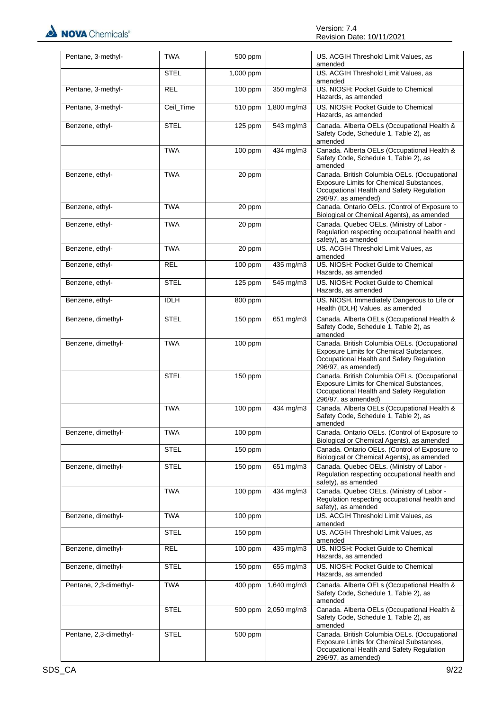

| Pentane, 3-methyl-     | <b>TWA</b>  | 500 ppm   |             | US. ACGIH Threshold Limit Values, as<br>amended                                                                                                              |
|------------------------|-------------|-----------|-------------|--------------------------------------------------------------------------------------------------------------------------------------------------------------|
|                        | <b>STEL</b> | 1,000 ppm |             | US. ACGIH Threshold Limit Values, as<br>amended                                                                                                              |
| Pentane, 3-methyl-     | <b>REL</b>  | $100$ ppm | 350 mg/m3   | US. NIOSH: Pocket Guide to Chemical<br>Hazards, as amended                                                                                                   |
| Pentane, 3-methyl-     | Ceil_Time   | 510 ppm   | 1,800 mg/m3 | US. NIOSH: Pocket Guide to Chemical<br>Hazards, as amended                                                                                                   |
| Benzene, ethyl-        | <b>STEL</b> | 125 ppm   | 543 mg/m3   | Canada. Alberta OELs (Occupational Health &<br>Safety Code, Schedule 1, Table 2), as<br>amended                                                              |
|                        | <b>TWA</b>  | 100 ppm   | 434 mg/m3   | Canada. Alberta OELs (Occupational Health &<br>Safety Code, Schedule 1, Table 2), as<br>amended                                                              |
| Benzene, ethyl-        | <b>TWA</b>  | 20 ppm    |             | Canada. British Columbia OELs. (Occupational<br>Exposure Limits for Chemical Substances,<br>Occupational Health and Safety Regulation<br>296/97, as amended) |
| Benzene, ethyl-        | <b>TWA</b>  | 20 ppm    |             | Canada. Ontario OELs. (Control of Exposure to<br>Biological or Chemical Agents), as amended                                                                  |
| Benzene, ethyl-        | <b>TWA</b>  | 20 ppm    |             | Canada. Quebec OELs. (Ministry of Labor -<br>Regulation respecting occupational health and<br>safety), as amended                                            |
| Benzene, ethyl-        | <b>TWA</b>  | 20 ppm    |             | US. ACGIH Threshold Limit Values, as<br>amended                                                                                                              |
| Benzene, ethyl-        | <b>REL</b>  | 100 ppm   | $435$ mg/m3 | US. NIOSH: Pocket Guide to Chemical<br>Hazards, as amended                                                                                                   |
| Benzene, ethyl-        | <b>STEL</b> | 125 ppm   | 545 mg/m3   | US. NIOSH: Pocket Guide to Chemical<br>Hazards, as amended                                                                                                   |
| Benzene, ethyl-        | <b>IDLH</b> | 800 ppm   |             | US. NIOSH. Immediately Dangerous to Life or<br>Health (IDLH) Values, as amended                                                                              |
| Benzene, dimethyl-     | <b>STEL</b> | 150 ppm   | 651 mg/m3   | Canada. Alberta OELs (Occupational Health &<br>Safety Code, Schedule 1, Table 2), as<br>amended                                                              |
| Benzene, dimethyl-     | <b>TWA</b>  | 100 ppm   |             | Canada. British Columbia OELs. (Occupational<br>Exposure Limits for Chemical Substances,<br>Occupational Health and Safety Regulation<br>296/97, as amended) |
|                        | <b>STEL</b> | 150 ppm   |             | Canada. British Columbia OELs. (Occupational<br>Exposure Limits for Chemical Substances,<br>Occupational Health and Safety Regulation<br>296/97, as amended) |
|                        | <b>TWA</b>  | 100 ppm   | 434 mg/m3   | Canada. Alberta OELs (Occupational Health &<br>Safety Code, Schedule 1, Table 2), as<br>amended                                                              |
| Benzene, dimethyl-     | TWA         | 100 ppm   |             | Canada. Ontario OELs. (Control of Exposure to<br>Biological or Chemical Agents), as amended                                                                  |
|                        | STEL        | 150 ppm   |             | Canada. Ontario OELs. (Control of Exposure to<br>Biological or Chemical Agents), as amended                                                                  |
| Benzene, dimethyl-     | <b>STEL</b> | 150 ppm   | 651 mg/m3   | Canada. Quebec OELs. (Ministry of Labor -<br>Regulation respecting occupational health and<br>safety), as amended                                            |
|                        | TWA         | 100 ppm   | 434 mg/m3   | Canada. Quebec OELs. (Ministry of Labor -<br>Regulation respecting occupational health and<br>safety), as amended                                            |
| Benzene, dimethyl-     | TWA         | 100 ppm   |             | US. ACGIH Threshold Limit Values, as<br>amended                                                                                                              |
|                        | <b>STEL</b> | 150 ppm   |             | US. ACGIH Threshold Limit Values, as<br>amended                                                                                                              |
| Benzene, dimethyl-     | <b>REL</b>  | $100$ ppm | 435 mg/m3   | US. NIOSH: Pocket Guide to Chemical<br>Hazards, as amended                                                                                                   |
| Benzene, dimethyl-     | <b>STEL</b> | 150 ppm   | 655 mg/m3   | US. NIOSH: Pocket Guide to Chemical<br>Hazards, as amended                                                                                                   |
| Pentane, 2,3-dimethyl- | <b>TWA</b>  | 400 ppm   | 1,640 mg/m3 | Canada. Alberta OELs (Occupational Health &<br>Safety Code, Schedule 1, Table 2), as<br>amended                                                              |
|                        | <b>STEL</b> | 500 ppm   | 2,050 mg/m3 | Canada. Alberta OELs (Occupational Health &<br>Safety Code, Schedule 1, Table 2), as<br>amended                                                              |
| Pentane, 2,3-dimethyl- | <b>STEL</b> | 500 ppm   |             | Canada. British Columbia OELs. (Occupational<br>Exposure Limits for Chemical Substances,<br>Occupational Health and Safety Regulation<br>296/97, as amended) |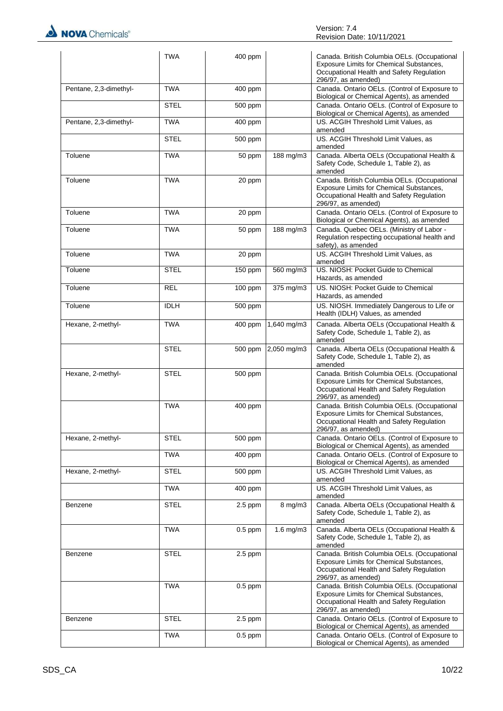NOVA Chemicals®

|                        | <b>TWA</b>  | 400 ppm   |                       | Canada. British Columbia OELs. (Occupational<br>Exposure Limits for Chemical Substances,<br>Occupational Health and Safety Regulation<br>296/97, as amended) |
|------------------------|-------------|-----------|-----------------------|--------------------------------------------------------------------------------------------------------------------------------------------------------------|
| Pentane, 2,3-dimethyl- | <b>TWA</b>  | 400 ppm   |                       | Canada. Ontario OELs. (Control of Exposure to<br>Biological or Chemical Agents), as amended                                                                  |
|                        | <b>STEL</b> | 500 ppm   |                       | Canada. Ontario OELs. (Control of Exposure to<br>Biological or Chemical Agents), as amended                                                                  |
| Pentane, 2,3-dimethyl- | <b>TWA</b>  | 400 ppm   |                       | US. ACGIH Threshold Limit Values, as<br>amended                                                                                                              |
|                        | <b>STEL</b> | 500 ppm   |                       | US. ACGIH Threshold Limit Values, as<br>amended                                                                                                              |
| Toluene                | <b>TWA</b>  | 50 ppm    | 188 mg/m3             | Canada. Alberta OELs (Occupational Health &<br>Safety Code, Schedule 1, Table 2), as<br>amended                                                              |
| Toluene                | <b>TWA</b>  | 20 ppm    |                       | Canada. British Columbia OELs. (Occupational<br>Exposure Limits for Chemical Substances,<br>Occupational Health and Safety Regulation<br>296/97, as amended) |
| Toluene                | <b>TWA</b>  | 20 ppm    |                       | Canada. Ontario OELs. (Control of Exposure to<br>Biological or Chemical Agents), as amended                                                                  |
| Toluene                | <b>TWA</b>  | 50 ppm    | 188 mg/m3             | Canada. Quebec OELs. (Ministry of Labor -<br>Regulation respecting occupational health and<br>safety), as amended                                            |
| Toluene                | <b>TWA</b>  | 20 ppm    |                       | US. ACGIH Threshold Limit Values, as<br>amended                                                                                                              |
| Toluene                | <b>STEL</b> | 150 ppm   | 560 mg/m3             | US. NIOSH: Pocket Guide to Chemical<br>Hazards, as amended                                                                                                   |
| Toluene                | <b>REL</b>  | 100 ppm   | $375 \,\mathrm{mg/m}$ | US. NIOSH: Pocket Guide to Chemical<br>Hazards, as amended                                                                                                   |
| Toluene                | <b>IDLH</b> | 500 ppm   |                       | US. NIOSH. Immediately Dangerous to Life or<br>Health (IDLH) Values, as amended                                                                              |
| Hexane, 2-methyl-      | <b>TWA</b>  | 400 ppm   | 1,640 mg/m3           | Canada. Alberta OELs (Occupational Health &<br>Safety Code, Schedule 1, Table 2), as<br>amended                                                              |
|                        | <b>STEL</b> | 500 ppm   | 2,050 mg/m3           | Canada. Alberta OELs (Occupational Health &<br>Safety Code, Schedule 1, Table 2), as<br>amended                                                              |
| Hexane, 2-methyl-      | <b>STEL</b> | 500 ppm   |                       | Canada. British Columbia OELs. (Occupational<br>Exposure Limits for Chemical Substances,<br>Occupational Health and Safety Regulation<br>296/97, as amended) |
|                        | <b>TWA</b>  | 400 ppm   |                       | Canada. British Columbia OELs. (Occupational<br>Exposure Limits for Chemical Substances,<br>Occupational Health and Safety Regulation<br>296/97, as amended) |
| Hexane, 2-methyl-      | STEL        | 500 ppm   |                       | Canada. Ontario OELs. (Control of Exposure to<br>Biological or Chemical Agents), as amended                                                                  |
|                        | <b>TWA</b>  | 400 ppm   |                       | Canada. Ontario OELs. (Control of Exposure to<br>Biological or Chemical Agents), as amended                                                                  |
| Hexane, 2-methyl-      | <b>STEL</b> | 500 ppm   |                       | US. ACGIH Threshold Limit Values, as<br>amended                                                                                                              |
|                        | <b>TWA</b>  | 400 ppm   |                       | US. ACGIH Threshold Limit Values, as<br>amended                                                                                                              |
| Benzene                | <b>STEL</b> | $2.5$ ppm | $8$ mg/m $3$          | Canada. Alberta OELs (Occupational Health &<br>Safety Code, Schedule 1, Table 2), as<br>amended                                                              |
|                        | <b>TWA</b>  | $0.5$ ppm | $1.6$ mg/m $3$        | Canada. Alberta OELs (Occupational Health &<br>Safety Code, Schedule 1, Table 2), as<br>amended                                                              |
| Benzene                | STEL        | $2.5$ ppm |                       | Canada. British Columbia OELs. (Occupational<br>Exposure Limits for Chemical Substances,<br>Occupational Health and Safety Regulation<br>296/97, as amended) |
|                        | <b>TWA</b>  | $0.5$ ppm |                       | Canada. British Columbia OELs. (Occupational<br>Exposure Limits for Chemical Substances,<br>Occupational Health and Safety Regulation<br>296/97, as amended) |
| Benzene                | <b>STEL</b> | $2.5$ ppm |                       | Canada. Ontario OELs. (Control of Exposure to<br>Biological or Chemical Agents), as amended                                                                  |
|                        | <b>TWA</b>  | $0.5$ ppm |                       | Canada. Ontario OELs. (Control of Exposure to<br>Biological or Chemical Agents), as amended                                                                  |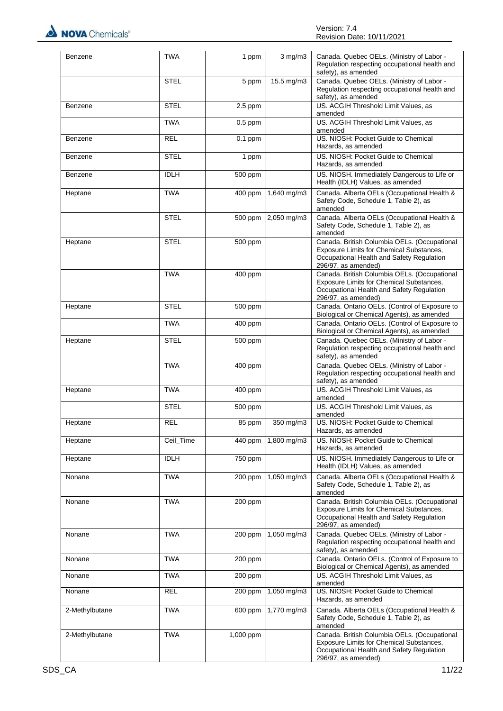

| Benzene        | <b>TWA</b>  | 1 ppm                | $3$ mg/m $3$ | Canada. Quebec OELs. (Ministry of Labor -<br>Regulation respecting occupational health and<br>safety), as amended                                            |
|----------------|-------------|----------------------|--------------|--------------------------------------------------------------------------------------------------------------------------------------------------------------|
|                | <b>STEL</b> | 5 ppm                | 15.5 mg/m3   | Canada. Quebec OELs. (Ministry of Labor -<br>Regulation respecting occupational health and<br>safety), as amended                                            |
| Benzene        | <b>STEL</b> | $2.5$ ppm            |              | US. ACGIH Threshold Limit Values, as<br>amended                                                                                                              |
|                | <b>TWA</b>  | $0.5$ ppm            |              | US. ACGIH Threshold Limit Values, as<br>amended                                                                                                              |
| Benzene        | <b>REL</b>  | $0.1$ ppm            |              | US. NIOSH: Pocket Guide to Chemical<br>Hazards, as amended                                                                                                   |
| Benzene        | <b>STEL</b> | 1 ppm                |              | US. NIOSH: Pocket Guide to Chemical<br>Hazards, as amended                                                                                                   |
| Benzene        | <b>IDLH</b> | $\overline{500}$ ppm |              | US. NIOSH. Immediately Dangerous to Life or<br>Health (IDLH) Values, as amended                                                                              |
| Heptane        | <b>TWA</b>  | 400 ppm              | 1,640 mg/m3  | Canada. Alberta OELs (Occupational Health &<br>Safety Code, Schedule 1, Table 2), as<br>amended                                                              |
|                | <b>STEL</b> | 500 ppm              | 2,050 mg/m3  | Canada. Alberta OELs (Occupational Health &<br>Safety Code, Schedule 1, Table 2), as<br>amended                                                              |
| Heptane        | <b>STEL</b> | 500 ppm              |              | Canada. British Columbia OELs. (Occupational<br>Exposure Limits for Chemical Substances,<br>Occupational Health and Safety Regulation<br>296/97, as amended) |
|                | <b>TWA</b>  | 400 ppm              |              | Canada. British Columbia OELs. (Occupational<br>Exposure Limits for Chemical Substances,<br>Occupational Health and Safety Regulation<br>296/97, as amended) |
| Heptane        | <b>STEL</b> | 500 ppm              |              | Canada. Ontario OELs. (Control of Exposure to<br>Biological or Chemical Agents), as amended                                                                  |
|                | TWA         | 400 ppm              |              | Canada. Ontario OELs. (Control of Exposure to<br>Biological or Chemical Agents), as amended                                                                  |
| Heptane        | <b>STEL</b> | 500 ppm              |              | Canada. Quebec OELs. (Ministry of Labor -<br>Regulation respecting occupational health and<br>safety), as amended                                            |
|                | <b>TWA</b>  | 400 ppm              |              | Canada. Quebec OELs. (Ministry of Labor -<br>Regulation respecting occupational health and<br>safety), as amended                                            |
| Heptane        | <b>TWA</b>  | 400 ppm              |              | US. ACGIH Threshold Limit Values, as<br>amended                                                                                                              |
|                | STEL        | 500 ppm              |              | US. ACGIH Threshold Limit Values, as<br>amended                                                                                                              |
| Heptane        | <b>REI</b>  | 85 ppm               | $350$ mg/m3  | US. NIOSH: Pocket Guide to Chemical<br>Hazards, as amended                                                                                                   |
| Heptane        | Ceil_Time   | 440 ppm              | 1,800 mg/m3  | US. NIOSH: Pocket Guide to Chemical<br>Hazards, as amended                                                                                                   |
| Heptane        | <b>IDLH</b> | $\overline{750}$ ppm |              | US. NIOSH. Immediately Dangerous to Life or<br>Health (IDLH) Values, as amended                                                                              |
| Nonane         | <b>TWA</b>  | 200 ppm              | 1,050 mg/m3  | Canada. Alberta OELs (Occupational Health &<br>Safety Code, Schedule 1, Table 2), as<br>amended                                                              |
| Nonane         | <b>TWA</b>  | 200 ppm              |              | Canada. British Columbia OELs. (Occupational<br>Exposure Limits for Chemical Substances,<br>Occupational Health and Safety Regulation<br>296/97, as amended) |
| Nonane         | <b>TWA</b>  | 200 ppm              | 1,050 mg/m3  | Canada. Quebec OELs. (Ministry of Labor -<br>Regulation respecting occupational health and<br>safety), as amended                                            |
| Nonane         | <b>TWA</b>  | 200 ppm              |              | Canada. Ontario OELs. (Control of Exposure to<br>Biological or Chemical Agents), as amended                                                                  |
| Nonane         | <b>TWA</b>  | 200 ppm              |              | US. ACGIH Threshold Limit Values, as<br>amended                                                                                                              |
| Nonane         | <b>REL</b>  | 200 ppm              | 1,050 mg/m3  | US. NIOSH: Pocket Guide to Chemical<br>Hazards, as amended                                                                                                   |
| 2-Methylbutane | <b>TWA</b>  | 600 ppm              | 1,770 mg/m3  | Canada. Alberta OELs (Occupational Health &<br>Safety Code, Schedule 1, Table 2), as<br>amended                                                              |
| 2-Methylbutane | <b>TWA</b>  | 1,000 ppm            |              | Canada. British Columbia OELs. (Occupational<br>Exposure Limits for Chemical Substances,<br>Occupational Health and Safety Regulation<br>296/97, as amended) |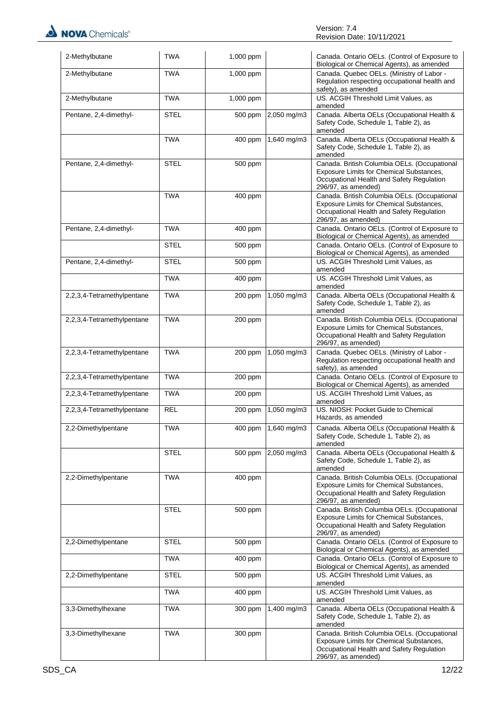| 2-Methylbutane             | <b>TWA</b>  | 1,000 ppm |             | Canada. Ontario OELs. (Control of Exposure to<br>Biological or Chemical Agents), as amended                                                                  |
|----------------------------|-------------|-----------|-------------|--------------------------------------------------------------------------------------------------------------------------------------------------------------|
| 2-Methylbutane             | <b>TWA</b>  | 1,000 ppm |             | Canada. Quebec OELs. (Ministry of Labor -<br>Regulation respecting occupational health and<br>safety), as amended                                            |
| 2-Methylbutane             | <b>TWA</b>  | 1,000 ppm |             | US. ACGIH Threshold Limit Values, as<br>amended                                                                                                              |
| Pentane, 2,4-dimethyl-     | <b>STEL</b> | 500 ppm   | 2,050 mg/m3 | Canada. Alberta OELs (Occupational Health &<br>Safety Code, Schedule 1, Table 2), as<br>amended                                                              |
|                            | <b>TWA</b>  | 400 ppm   | 1,640 mg/m3 | Canada. Alberta OELs (Occupational Health &<br>Safety Code, Schedule 1, Table 2), as<br>amended                                                              |
| Pentane, 2,4-dimethyl-     | <b>STEL</b> | 500 ppm   |             | Canada. British Columbia OELs. (Occupational<br>Exposure Limits for Chemical Substances,<br>Occupational Health and Safety Regulation<br>296/97, as amended) |
|                            | <b>TWA</b>  | 400 ppm   |             | Canada. British Columbia OELs. (Occupational<br>Exposure Limits for Chemical Substances,<br>Occupational Health and Safety Regulation<br>296/97, as amended) |
| Pentane, 2,4-dimethyl-     | <b>TWA</b>  | 400 ppm   |             | Canada. Ontario OELs. (Control of Exposure to<br>Biological or Chemical Agents), as amended                                                                  |
|                            | <b>STEL</b> | 500 ppm   |             | Canada. Ontario OELs. (Control of Exposure to<br>Biological or Chemical Agents), as amended                                                                  |
| Pentane, 2,4-dimethyl-     | <b>STEL</b> | 500 ppm   |             | US. ACGIH Threshold Limit Values, as<br>amended                                                                                                              |
|                            | <b>TWA</b>  | 400 ppm   |             | US. ACGIH Threshold Limit Values, as<br>amended                                                                                                              |
| 2,2,3,4-Tetramethylpentane | <b>TWA</b>  | 200 ppm   | 1,050 mg/m3 | Canada. Alberta OELs (Occupational Health &<br>Safety Code, Schedule 1, Table 2), as<br>amended                                                              |
| 2,2,3,4-Tetramethylpentane | <b>TWA</b>  | 200 ppm   |             | Canada. British Columbia OELs. (Occupational<br>Exposure Limits for Chemical Substances,<br>Occupational Health and Safety Regulation<br>296/97, as amended) |
| 2,2,3,4-Tetramethylpentane | <b>TWA</b>  | 200 ppm   | 1,050 mg/m3 | Canada. Quebec OELs. (Ministry of Labor -<br>Regulation respecting occupational health and<br>safety), as amended                                            |
| 2,2,3,4-Tetramethylpentane | <b>TWA</b>  | 200 ppm   |             | Canada. Ontario OELs. (Control of Exposure to<br>Biological or Chemical Agents), as amended                                                                  |
| 2,2,3,4-Tetramethylpentane | <b>TWA</b>  | 200 ppm   |             | US. ACGIH Threshold Limit Values, as<br>amended                                                                                                              |
| 2,2,3,4-Tetramethylpentane | <b>REL</b>  | $200$ ppm | 1,050 mg/m3 | US. NIOSH: Pocket Guide to Chemical<br>Hazards, as amended                                                                                                   |
| 2,2-Dimethylpentane        | TWA         | 400 ppm   | 1,640 mg/m3 | Canada. Alberta OELs (Occupational Health &<br>Safety Code, Schedule 1, Table 2), as<br>amended                                                              |
|                            | <b>STEL</b> | 500 ppm   | 2,050 mg/m3 | Canada. Alberta OELs (Occupational Health &<br>Safety Code, Schedule 1, Table 2), as<br>amended                                                              |
| 2,2-Dimethylpentane        | <b>TWA</b>  | 400 ppm   |             | Canada. British Columbia OELs. (Occupational<br>Exposure Limits for Chemical Substances,<br>Occupational Health and Safety Regulation<br>296/97, as amended) |
|                            | <b>STEL</b> | 500 ppm   |             | Canada. British Columbia OELs. (Occupational<br>Exposure Limits for Chemical Substances,<br>Occupational Health and Safety Regulation<br>296/97, as amended) |
| 2,2-Dimethylpentane        | <b>STEL</b> | 500 ppm   |             | Canada. Ontario OELs. (Control of Exposure to<br>Biological or Chemical Agents), as amended                                                                  |
|                            | TWA         | 400 ppm   |             | Canada. Ontario OELs. (Control of Exposure to<br>Biological or Chemical Agents), as amended                                                                  |
| 2,2-Dimethylpentane        | <b>STEL</b> | 500 ppm   |             | US. ACGIH Threshold Limit Values, as<br>amended                                                                                                              |
|                            | <b>TWA</b>  | 400 ppm   |             | US. ACGIH Threshold Limit Values, as<br>amended                                                                                                              |
| 3,3-Dimethylhexane         | <b>TWA</b>  | 300 ppm   | 1,400 mg/m3 | Canada. Alberta OELs (Occupational Health &<br>Safety Code, Schedule 1, Table 2), as<br>amended                                                              |
| 3,3-Dimethylhexane         | <b>TWA</b>  | 300 ppm   |             | Canada. British Columbia OELs. (Occupational<br>Exposure Limits for Chemical Substances,<br>Occupational Health and Safety Regulation<br>296/97, as amended) |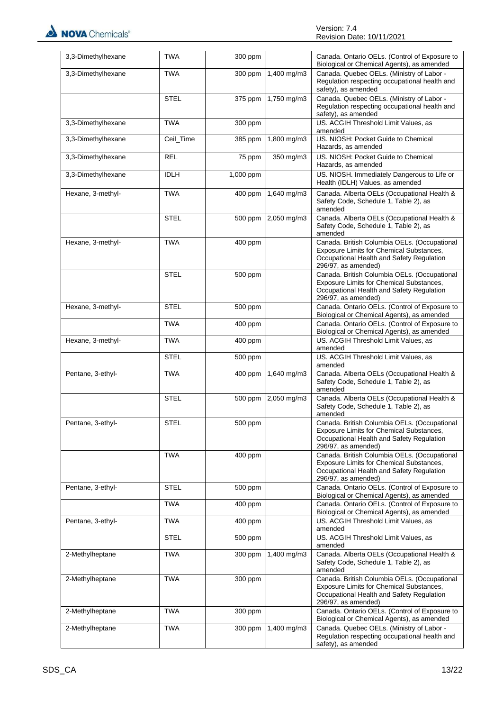NOVA Chemicals®

| 3,3-Dimethylhexane | <b>TWA</b>  | 300 ppm   |             | Canada. Ontario OELs. (Control of Exposure to<br>Biological or Chemical Agents), as amended                                                                  |
|--------------------|-------------|-----------|-------------|--------------------------------------------------------------------------------------------------------------------------------------------------------------|
| 3,3-Dimethylhexane | <b>TWA</b>  | 300 ppm   | 1,400 mg/m3 | Canada. Quebec OELs. (Ministry of Labor -<br>Regulation respecting occupational health and<br>safety), as amended                                            |
|                    | <b>STEL</b> | 375 ppm   | 1,750 mg/m3 | Canada. Quebec OELs. (Ministry of Labor -<br>Regulation respecting occupational health and<br>safety), as amended                                            |
| 3,3-Dimethylhexane | <b>TWA</b>  | 300 ppm   |             | US. ACGIH Threshold Limit Values, as<br>amended                                                                                                              |
| 3,3-Dimethylhexane | Ceil_Time   | 385 ppm   | 1,800 mg/m3 | US. NIOSH: Pocket Guide to Chemical<br>Hazards, as amended                                                                                                   |
| 3,3-Dimethylhexane | <b>REL</b>  | 75 ppm    | 350 mg/m3   | US. NIOSH: Pocket Guide to Chemical<br>Hazards, as amended                                                                                                   |
| 3,3-Dimethylhexane | <b>IDLH</b> | 1,000 ppm |             | US. NIOSH. Immediately Dangerous to Life or<br>Health (IDLH) Values, as amended                                                                              |
| Hexane, 3-methyl-  | <b>TWA</b>  | 400 ppm   | 1,640 mg/m3 | Canada. Alberta OELs (Occupational Health &<br>Safety Code, Schedule 1, Table 2), as<br>amended                                                              |
|                    | <b>STEL</b> | 500 ppm   | 2,050 mg/m3 | Canada. Alberta OELs (Occupational Health &<br>Safety Code, Schedule 1, Table 2), as<br>amended                                                              |
| Hexane, 3-methyl-  | <b>TWA</b>  | 400 ppm   |             | Canada. British Columbia OELs. (Occupational<br>Exposure Limits for Chemical Substances,<br>Occupational Health and Safety Regulation<br>296/97, as amended) |
|                    | <b>STEL</b> | 500 ppm   |             | Canada. British Columbia OELs. (Occupational<br>Exposure Limits for Chemical Substances,<br>Occupational Health and Safety Regulation<br>296/97, as amended) |
| Hexane, 3-methyl-  | <b>STEL</b> | 500 ppm   |             | Canada. Ontario OELs. (Control of Exposure to<br>Biological or Chemical Agents), as amended                                                                  |
|                    | <b>TWA</b>  | 400 ppm   |             | Canada. Ontario OELs. (Control of Exposure to<br>Biological or Chemical Agents), as amended                                                                  |
| Hexane, 3-methyl-  | TWA         | 400 ppm   |             | US. ACGIH Threshold Limit Values, as<br>amended                                                                                                              |
|                    | <b>STEL</b> | 500 ppm   |             | US. ACGIH Threshold Limit Values, as<br>amended                                                                                                              |
| Pentane, 3-ethyl-  | <b>TWA</b>  | 400 ppm   | 1,640 mg/m3 | Canada. Alberta OELs (Occupational Health &<br>Safety Code, Schedule 1, Table 2), as<br>amended                                                              |
|                    | <b>STEL</b> | 500 ppm   | 2,050 mg/m3 | Canada. Alberta OELs (Occupational Health &<br>Safety Code, Schedule 1, Table 2), as<br>amended                                                              |
| Pentane, 3-ethyl-  | <b>STEL</b> | $500$ ppm |             | Canada. British Columbia OELs. (Occupational<br>Exposure Limits for Chemical Substances,<br>Occupational Health and Safety Regulation<br>296/97, as amended) |
|                    | <b>TWA</b>  | 400 ppm   |             | Canada. British Columbia OELs. (Occupational<br>Exposure Limits for Chemical Substances,<br>Occupational Health and Safety Regulation<br>296/97, as amended) |
| Pentane, 3-ethyl-  | <b>STEL</b> | 500 ppm   |             | Canada. Ontario OELs. (Control of Exposure to<br>Biological or Chemical Agents), as amended                                                                  |
|                    | <b>TWA</b>  | 400 ppm   |             | Canada. Ontario OELs. (Control of Exposure to<br>Biological or Chemical Agents), as amended                                                                  |
| Pentane, 3-ethyl-  | TWA         | 400 ppm   |             | US. ACGIH Threshold Limit Values, as<br>amended                                                                                                              |
|                    | STEL        | 500 ppm   |             | US. ACGIH Threshold Limit Values, as<br>amended                                                                                                              |
| 2-Methylheptane    | <b>TWA</b>  | 300 ppm   | 1,400 mg/m3 | Canada. Alberta OELs (Occupational Health &<br>Safety Code, Schedule 1, Table 2), as<br>amended                                                              |
| 2-Methylheptane    | <b>TWA</b>  | 300 ppm   |             | Canada. British Columbia OELs. (Occupational<br>Exposure Limits for Chemical Substances,<br>Occupational Health and Safety Regulation<br>296/97, as amended) |
| 2-Methylheptane    | <b>TWA</b>  | 300 ppm   |             | Canada. Ontario OELs. (Control of Exposure to<br>Biological or Chemical Agents), as amended                                                                  |
| 2-Methylheptane    | <b>TWA</b>  | 300 ppm   | 1,400 mg/m3 | Canada. Quebec OELs. (Ministry of Labor -<br>Regulation respecting occupational health and<br>safety), as amended                                            |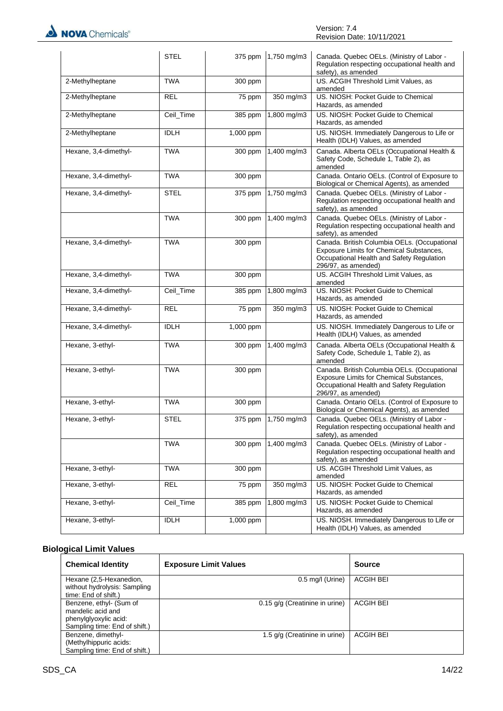NOVA Chemicals®

|                       | <b>STEL</b> | 375 ppm   | 1,750 mg/m3 | Canada. Quebec OELs. (Ministry of Labor -<br>Regulation respecting occupational health and<br>safety), as amended                                            |
|-----------------------|-------------|-----------|-------------|--------------------------------------------------------------------------------------------------------------------------------------------------------------|
| 2-Methylheptane       | <b>TWA</b>  | 300 ppm   |             | US. ACGIH Threshold Limit Values, as<br>amended                                                                                                              |
| 2-Methylheptane       | <b>REL</b>  | 75 ppm    | 350 mg/m3   | US. NIOSH: Pocket Guide to Chemical<br>Hazards, as amended                                                                                                   |
| 2-Methylheptane       | Ceil_Time   | 385 ppm   | 1,800 mg/m3 | US. NIOSH: Pocket Guide to Chemical<br>Hazards, as amended                                                                                                   |
| 2-Methylheptane       | <b>IDLH</b> | 1,000 ppm |             | US. NIOSH. Immediately Dangerous to Life or<br>Health (IDLH) Values, as amended                                                                              |
| Hexane, 3,4-dimethyl- | <b>TWA</b>  | 300 ppm   | 1,400 mg/m3 | Canada. Alberta OELs (Occupational Health &<br>Safety Code, Schedule 1, Table 2), as<br>amended                                                              |
| Hexane, 3,4-dimethyl- | <b>TWA</b>  | 300 ppm   |             | Canada. Ontario OELs. (Control of Exposure to<br>Biological or Chemical Agents), as amended                                                                  |
| Hexane, 3,4-dimethyl- | <b>STEL</b> | 375 ppm   | 1,750 mg/m3 | Canada. Quebec OELs. (Ministry of Labor -<br>Regulation respecting occupational health and<br>safety), as amended                                            |
|                       | <b>TWA</b>  | 300 ppm   | 1,400 mg/m3 | Canada. Quebec OELs. (Ministry of Labor -<br>Regulation respecting occupational health and<br>safety), as amended                                            |
| Hexane, 3,4-dimethyl- | <b>TWA</b>  | 300 ppm   |             | Canada. British Columbia OELs. (Occupational<br>Exposure Limits for Chemical Substances,<br>Occupational Health and Safety Regulation<br>296/97, as amended) |
| Hexane, 3,4-dimethyl- | <b>TWA</b>  | 300 ppm   |             | US. ACGIH Threshold Limit Values, as<br>amended                                                                                                              |
| Hexane, 3,4-dimethyl- | Ceil_Time   | 385 ppm   | 1,800 mg/m3 | US. NIOSH: Pocket Guide to Chemical<br>Hazards, as amended                                                                                                   |
| Hexane, 3,4-dimethyl- | <b>REL</b>  | 75 ppm    | 350 mg/m3   | US. NIOSH: Pocket Guide to Chemical<br>Hazards, as amended                                                                                                   |
| Hexane, 3,4-dimethyl- | <b>IDLH</b> | 1,000 ppm |             | US. NIOSH. Immediately Dangerous to Life or<br>Health (IDLH) Values, as amended                                                                              |
| Hexane, 3-ethyl-      | <b>TWA</b>  | 300 ppm   | 1,400 mg/m3 | Canada. Alberta OELs (Occupational Health &<br>Safety Code, Schedule 1, Table 2), as<br>amended                                                              |
| Hexane, 3-ethyl-      | <b>TWA</b>  | 300 ppm   |             | Canada. British Columbia OELs. (Occupational<br>Exposure Limits for Chemical Substances,<br>Occupational Health and Safety Regulation<br>296/97, as amended) |
| Hexane, 3-ethyl-      | <b>TWA</b>  | 300 ppm   |             | Canada. Ontario OELs. (Control of Exposure to<br>Biological or Chemical Agents), as amended                                                                  |
| Hexane, 3-ethyl-      | <b>STEL</b> | 375 ppm   | 1,750 mg/m3 | Canada. Quebec OELs. (Ministry of Labor -<br>Regulation respecting occupational health and<br>safety), as amended                                            |
|                       | <b>TWA</b>  | 300 ppm   | 1,400 mg/m3 | Canada. Quebec OELs. (Ministry of Labor -<br>Regulation respecting occupational health and<br>safety), as amended                                            |
| Hexane, 3-ethyl-      | <b>TWA</b>  | 300 ppm   |             | US. ACGIH Threshold Limit Values, as<br>amended                                                                                                              |
| Hexane, 3-ethyl-      | <b>REL</b>  | 75 ppm    | 350 mg/m3   | US. NIOSH: Pocket Guide to Chemical<br>Hazards, as amended                                                                                                   |
| Hexane, 3-ethyl-      | Ceil_Time   | 385 ppm   | 1,800 mg/m3 | US. NIOSH: Pocket Guide to Chemical<br>Hazards, as amended                                                                                                   |
| Hexane, 3-ethyl-      | <b>IDLH</b> | 1,000 ppm |             | US. NIOSH. Immediately Dangerous to Life or<br>Health (IDLH) Values, as amended                                                                              |

### **Biological Limit Values**

| <b>Chemical Identity</b>                             | <b>Exposure Limit Values</b>   | <b>Source</b>    |
|------------------------------------------------------|--------------------------------|------------------|
| Hexane (2,5-Hexanedion,                              | $0.5$ mg/l (Urine)             | ACGIH BEI        |
| without hydrolysis: Sampling<br>time: End of shift.) |                                |                  |
| Benzene, ethyl- (Sum of                              | 0.15 g/g (Creatinine in urine) | <b>ACGIH BEI</b> |
| mandelic acid and                                    |                                |                  |
| phenylglyoxylic acid:                                |                                |                  |
| Sampling time: End of shift.)                        |                                |                  |
| Benzene, dimethyl-                                   | 1.5 g/g (Creatinine in urine)  | <b>ACGIH BEI</b> |
| (Methylhippuric acids:                               |                                |                  |
| Sampling time: End of shift.)                        |                                |                  |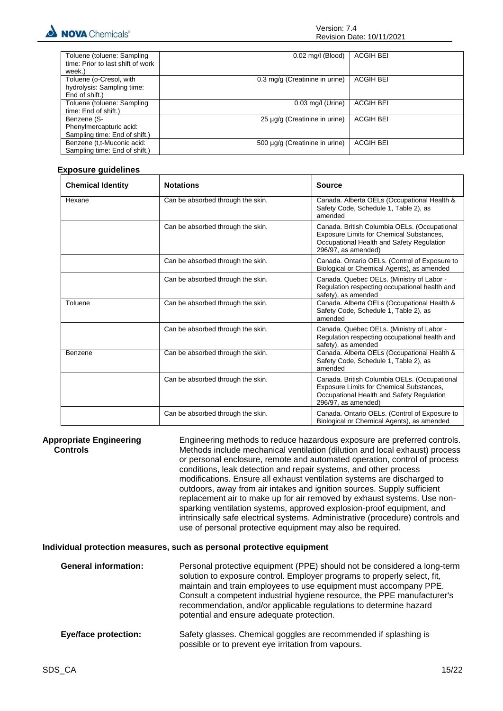

| Toluene (toluene: Sampling        | $0.02$ mg/l (Blood)            | <b>ACGIH BEI</b> |
|-----------------------------------|--------------------------------|------------------|
| time: Prior to last shift of work |                                |                  |
| week.)                            |                                |                  |
| Toluene (o-Cresol, with           | 0.3 mg/g (Creatinine in urine) | <b>ACGIH BEI</b> |
| hydrolysis: Sampling time:        |                                |                  |
| End of shift.)                    |                                |                  |
| Toluene (toluene: Sampling        | $0.03$ mg/l (Urine)            | <b>ACGIH BEI</b> |
| time: End of shift.)              |                                |                  |
| Benzene (S-                       | 25 µg/g (Creatinine in urine)  | <b>ACGIH BEI</b> |
| Phenylmercapturic acid:           |                                |                  |
| Sampling time: End of shift.)     |                                |                  |
| Benzene (t,t-Muconic acid:        | 500 µq/q (Creatinine in urine) | <b>ACGIH BEI</b> |
| Sampling time: End of shift.)     |                                |                  |
|                                   |                                |                  |

#### **Exposure guidelines**

| <b>Chemical Identity</b> | <b>Notations</b>                  | Source                                                                                                                                                       |
|--------------------------|-----------------------------------|--------------------------------------------------------------------------------------------------------------------------------------------------------------|
| Hexane                   | Can be absorbed through the skin. | Canada. Alberta OELs (Occupational Health &<br>Safety Code, Schedule 1, Table 2), as<br>amended                                                              |
|                          | Can be absorbed through the skin. | Canada. British Columbia OELs. (Occupational<br>Exposure Limits for Chemical Substances,<br>Occupational Health and Safety Regulation<br>296/97, as amended) |
|                          | Can be absorbed through the skin. | Canada. Ontario OELs. (Control of Exposure to<br>Biological or Chemical Agents), as amended                                                                  |
|                          | Can be absorbed through the skin. | Canada. Quebec OELs. (Ministry of Labor -<br>Regulation respecting occupational health and<br>safety), as amended                                            |
| Toluene                  | Can be absorbed through the skin. | Canada. Alberta OELs (Occupational Health &<br>Safety Code, Schedule 1, Table 2), as<br>amended                                                              |
|                          | Can be absorbed through the skin. | Canada. Quebec OELs. (Ministry of Labor -<br>Regulation respecting occupational health and<br>safety), as amended                                            |
| Benzene                  | Can be absorbed through the skin. | Canada. Alberta OELs (Occupational Health &<br>Safety Code, Schedule 1, Table 2), as<br>amended                                                              |
|                          | Can be absorbed through the skin. | Canada. British Columbia OELs. (Occupational<br>Exposure Limits for Chemical Substances,<br>Occupational Health and Safety Regulation<br>296/97, as amended) |
|                          | Can be absorbed through the skin. | Canada. Ontario OELs. (Control of Exposure to<br>Biological or Chemical Agents), as amended                                                                  |

**Appropriate Engineering Controls** Engineering methods to reduce hazardous exposure are preferred controls. Methods include mechanical ventilation (dilution and local exhaust) process or personal enclosure, remote and automated operation, control of process conditions, leak detection and repair systems, and other process modifications. Ensure all exhaust ventilation systems are discharged to outdoors, away from air intakes and ignition sources. Supply sufficient replacement air to make up for air removed by exhaust systems. Use nonsparking ventilation systems, approved explosion-proof equipment, and intrinsically safe electrical systems. Administrative (procedure) controls and use of personal protective equipment may also be required.

#### **Individual protection measures, such as personal protective equipment**

| <b>General information:</b> | Personal protective equipment (PPE) should not be considered a long-term<br>solution to exposure control. Employer programs to properly select, fit,<br>maintain and train employees to use equipment must accompany PPE.<br>Consult a competent industrial hygiene resource, the PPE manufacturer's<br>recommendation, and/or applicable regulations to determine hazard<br>potential and ensure adequate protection. |
|-----------------------------|------------------------------------------------------------------------------------------------------------------------------------------------------------------------------------------------------------------------------------------------------------------------------------------------------------------------------------------------------------------------------------------------------------------------|
| <b>Eye/face protection:</b> | Safety glasses. Chemical goggles are recommended if splashing is<br>possible or to prevent eye irritation from vapours.                                                                                                                                                                                                                                                                                                |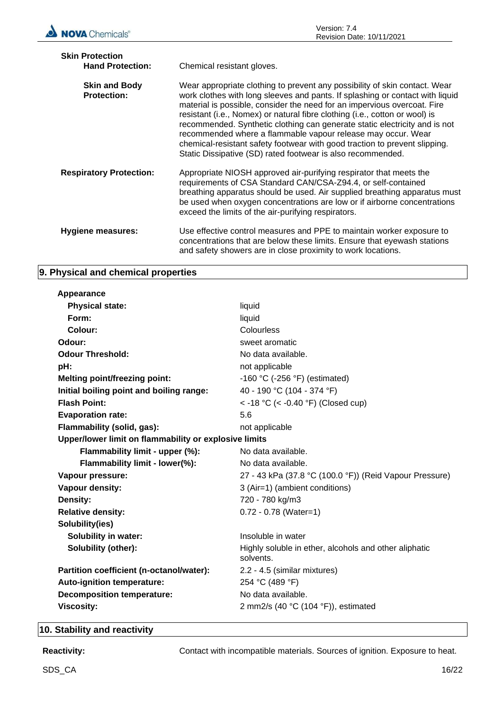| <b>Skin Protection</b><br><b>Hand Protection:</b> | Chemical resistant gloves.                                                                                                                                                                                                                                                                                                                                                                                                                                                                                                                                                                                        |
|---------------------------------------------------|-------------------------------------------------------------------------------------------------------------------------------------------------------------------------------------------------------------------------------------------------------------------------------------------------------------------------------------------------------------------------------------------------------------------------------------------------------------------------------------------------------------------------------------------------------------------------------------------------------------------|
| <b>Skin and Body</b><br><b>Protection:</b>        | Wear appropriate clothing to prevent any possibility of skin contact. Wear<br>work clothes with long sleeves and pants. If splashing or contact with liquid<br>material is possible, consider the need for an impervious overcoat. Fire<br>resistant (i.e., Nomex) or natural fibre clothing (i.e., cotton or wool) is<br>recommended. Synthetic clothing can generate static electricity and is not<br>recommended where a flammable vapour release may occur. Wear<br>chemical-resistant safety footwear with good traction to prevent slipping.<br>Static Dissipative (SD) rated footwear is also recommended. |
| <b>Respiratory Protection:</b>                    | Appropriate NIOSH approved air-purifying respirator that meets the<br>requirements of CSA Standard CAN/CSA-Z94.4, or self-contained<br>breathing apparatus should be used. Air supplied breathing apparatus must<br>be used when oxygen concentrations are low or if airborne concentrations<br>exceed the limits of the air-purifying respirators.                                                                                                                                                                                                                                                               |
| <b>Hygiene measures:</b>                          | Use effective control measures and PPE to maintain worker exposure to<br>concentrations that are below these limits. Ensure that eyewash stations<br>and safety showers are in close proximity to work locations.                                                                                                                                                                                                                                                                                                                                                                                                 |

### **9. Physical and chemical properties**

| liquid                                                             |
|--------------------------------------------------------------------|
| liquid                                                             |
| Colourless                                                         |
| sweet aromatic                                                     |
| No data available.                                                 |
| not applicable                                                     |
| -160 °C (-256 °F) (estimated)                                      |
| 40 - 190 °C (104 - 374 °F)                                         |
| < -18 °C (< -0.40 °F) (Closed cup)                                 |
| 5.6                                                                |
| not applicable                                                     |
| Upper/lower limit on flammability or explosive limits              |
| No data available.                                                 |
| No data available.                                                 |
| 27 - 43 kPa (37.8 °C (100.0 °F)) (Reid Vapour Pressure)            |
| 3 (Air=1) (ambient conditions)                                     |
| 720 - 780 kg/m3                                                    |
| $0.72 - 0.78$ (Water=1)                                            |
|                                                                    |
| Insoluble in water                                                 |
| Highly soluble in ether, alcohols and other aliphatic<br>solvents. |
| 2.2 - 4.5 (similar mixtures)                                       |
| 254 °C (489 °F)                                                    |
| No data available.                                                 |
| 2 mm2/s (40 $°C$ (104 $°F$ )), estimated                           |
|                                                                    |

### **10. Stability and reactivity**

Reactivity: **Reactivity:** Contact with incompatible materials. Sources of ignition. Exposure to heat.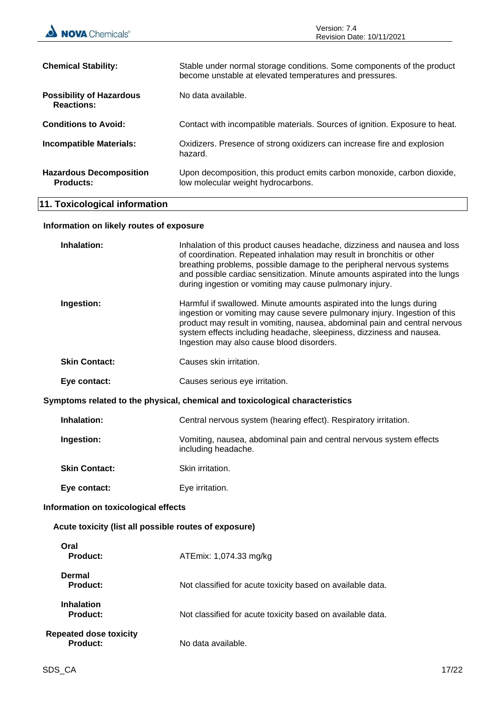| <b>NOVA</b> Chemicals®                                | Version: 7.4<br>Revision Date: 10/11/2021                                                                                                                                                                                                                                                                                                                               |  |
|-------------------------------------------------------|-------------------------------------------------------------------------------------------------------------------------------------------------------------------------------------------------------------------------------------------------------------------------------------------------------------------------------------------------------------------------|--|
| <b>Chemical Stability:</b>                            | Stable under normal storage conditions. Some components of the product<br>become unstable at elevated temperatures and pressures.                                                                                                                                                                                                                                       |  |
| <b>Possibility of Hazardous</b><br><b>Reactions:</b>  | No data available.                                                                                                                                                                                                                                                                                                                                                      |  |
| <b>Conditions to Avoid:</b>                           | Contact with incompatible materials. Sources of ignition. Exposure to heat.                                                                                                                                                                                                                                                                                             |  |
| <b>Incompatible Materials:</b>                        | Oxidizers. Presence of strong oxidizers can increase fire and explosion<br>hazard.                                                                                                                                                                                                                                                                                      |  |
| <b>Hazardous Decomposition</b><br><b>Products:</b>    | Upon decomposition, this product emits carbon monoxide, carbon dioxide,<br>low molecular weight hydrocarbons.                                                                                                                                                                                                                                                           |  |
| 11. Toxicological information                         |                                                                                                                                                                                                                                                                                                                                                                         |  |
| Information on likely routes of exposure              |                                                                                                                                                                                                                                                                                                                                                                         |  |
| Inhalation:                                           | Inhalation of this product causes headache, dizziness and nausea and loss<br>of coordination. Repeated inhalation may result in bronchitis or other<br>breathing problems, possible damage to the peripheral nervous systems<br>and possible cardiac sensitization. Minute amounts aspirated into the lungs<br>during ingestion or vomiting may cause pulmonary injury. |  |
| Ingestion:                                            | Harmful if swallowed. Minute amounts aspirated into the lungs during<br>ingestion or vomiting may cause severe pulmonary injury. Ingestion of this<br>product may result in vomiting, nausea, abdominal pain and central nervous<br>system effects including headache, sleepiness, dizziness and nausea.<br>Ingestion may also cause blood disorders.                   |  |
| <b>Skin Contact:</b>                                  | Causes skin irritation.                                                                                                                                                                                                                                                                                                                                                 |  |
| Eye contact:                                          | Causes serious eye irritation.                                                                                                                                                                                                                                                                                                                                          |  |
|                                                       | Symptoms related to the physical, chemical and toxicological characteristics                                                                                                                                                                                                                                                                                            |  |
| Inhalation:                                           | Central nervous system (hearing effect). Respiratory irritation.                                                                                                                                                                                                                                                                                                        |  |
| Ingestion:                                            | Vomiting, nausea, abdominal pain and central nervous system effects<br>including headache.                                                                                                                                                                                                                                                                              |  |
| <b>Skin Contact:</b>                                  | Skin irritation.                                                                                                                                                                                                                                                                                                                                                        |  |
| Eye contact:                                          | Eye irritation.                                                                                                                                                                                                                                                                                                                                                         |  |
| Information on toxicological effects                  |                                                                                                                                                                                                                                                                                                                                                                         |  |
| Acute toxicity (list all possible routes of exposure) |                                                                                                                                                                                                                                                                                                                                                                         |  |
| Oral<br>Product:                                      | ATEmix: 1,074.33 mg/kg                                                                                                                                                                                                                                                                                                                                                  |  |
| <b>Dermal</b><br><b>Product:</b>                      | Not classified for acute toxicity based on available data.                                                                                                                                                                                                                                                                                                              |  |
| <b>Inhalation</b><br><b>Product:</b>                  | Not classified for acute toxicity based on available data.                                                                                                                                                                                                                                                                                                              |  |
| <b>Repeated dose toxicity</b><br><b>Product:</b>      | No data available.                                                                                                                                                                                                                                                                                                                                                      |  |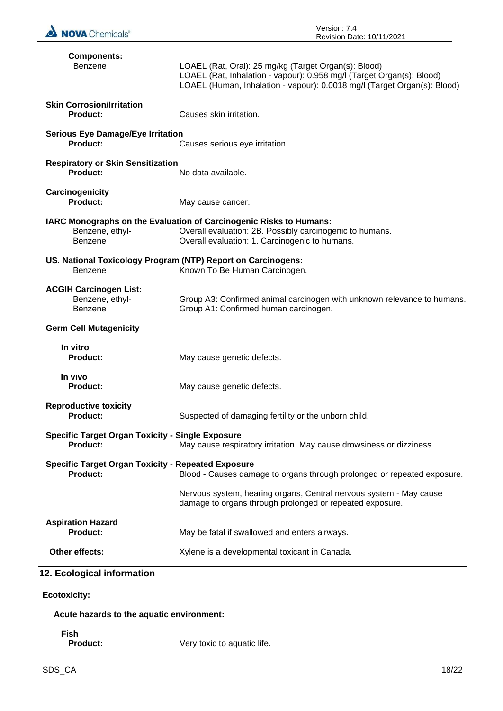

| <b>Components:</b><br>Benzene                                                                            | LOAEL (Rat, Oral): 25 mg/kg (Target Organ(s): Blood)<br>LOAEL (Rat, Inhalation - vapour): 0.958 mg/l (Target Organ(s): Blood)<br>LOAEL (Human, Inhalation - vapour): 0.0018 mg/l (Target Organ(s): Blood) |  |
|----------------------------------------------------------------------------------------------------------|-----------------------------------------------------------------------------------------------------------------------------------------------------------------------------------------------------------|--|
| <b>Skin Corrosion/Irritation</b><br><b>Product:</b>                                                      | Causes skin irritation.                                                                                                                                                                                   |  |
| <b>Serious Eye Damage/Eye Irritation</b><br>Product:                                                     | Causes serious eye irritation.                                                                                                                                                                            |  |
| <b>Respiratory or Skin Sensitization</b><br>Product:                                                     | No data available.                                                                                                                                                                                        |  |
| Carcinogenicity<br>Product:                                                                              | May cause cancer.                                                                                                                                                                                         |  |
| Benzene, ethyl-<br>Benzene                                                                               | IARC Monographs on the Evaluation of Carcinogenic Risks to Humans:<br>Overall evaluation: 2B. Possibly carcinogenic to humans.<br>Overall evaluation: 1. Carcinogenic to humans.                          |  |
| US. National Toxicology Program (NTP) Report on Carcinogens:<br>Known To Be Human Carcinogen.<br>Benzene |                                                                                                                                                                                                           |  |
| <b>ACGIH Carcinogen List:</b><br>Benzene, ethyl-<br>Benzene                                              | Group A3: Confirmed animal carcinogen with unknown relevance to humans.<br>Group A1: Confirmed human carcinogen.                                                                                          |  |
| <b>Germ Cell Mutagenicity</b>                                                                            |                                                                                                                                                                                                           |  |
| In vitro<br><b>Product:</b>                                                                              | May cause genetic defects.                                                                                                                                                                                |  |
| In vivo<br><b>Product:</b>                                                                               | May cause genetic defects.                                                                                                                                                                                |  |
| <b>Reproductive toxicity</b><br>Product:                                                                 | Suspected of damaging fertility or the unborn child.                                                                                                                                                      |  |
| <b>Specific Target Organ Toxicity - Single Exposure</b><br><b>Product:</b>                               | May cause respiratory irritation. May cause drowsiness or dizziness.                                                                                                                                      |  |
| <b>Specific Target Organ Toxicity - Repeated Exposure</b><br>Product:                                    | Blood - Causes damage to organs through prolonged or repeated exposure.                                                                                                                                   |  |
|                                                                                                          | Nervous system, hearing organs, Central nervous system - May cause<br>damage to organs through prolonged or repeated exposure.                                                                            |  |
| <b>Aspiration Hazard</b><br><b>Product:</b>                                                              | May be fatal if swallowed and enters airways.                                                                                                                                                             |  |
| Other effects:                                                                                           | Xylene is a developmental toxicant in Canada.                                                                                                                                                             |  |
| 12. Ecological information                                                                               |                                                                                                                                                                                                           |  |

**Ecotoxicity:**

**Acute hazards to the aquatic environment:**

**Fish**

Very toxic to aquatic life.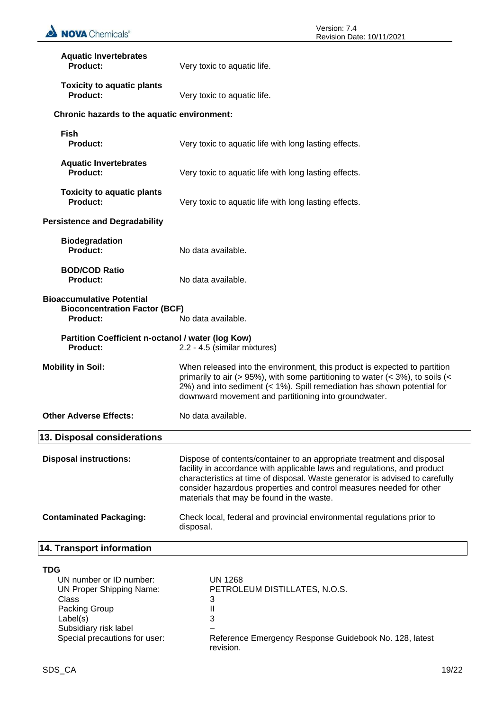| <b>Aquatic Invertebrates</b><br><b>Product:</b>                                                                                         | Very toxic to aquatic life.                                                                                                                                                                                                                                                                                                                            |
|-----------------------------------------------------------------------------------------------------------------------------------------|--------------------------------------------------------------------------------------------------------------------------------------------------------------------------------------------------------------------------------------------------------------------------------------------------------------------------------------------------------|
| <b>Toxicity to aquatic plants</b><br><b>Product:</b>                                                                                    | Very toxic to aquatic life.                                                                                                                                                                                                                                                                                                                            |
| Chronic hazards to the aquatic environment:                                                                                             |                                                                                                                                                                                                                                                                                                                                                        |
| <b>Fish</b><br><b>Product:</b>                                                                                                          | Very toxic to aquatic life with long lasting effects.                                                                                                                                                                                                                                                                                                  |
| <b>Aquatic Invertebrates</b><br><b>Product:</b>                                                                                         | Very toxic to aquatic life with long lasting effects.                                                                                                                                                                                                                                                                                                  |
| <b>Toxicity to aquatic plants</b><br><b>Product:</b>                                                                                    | Very toxic to aquatic life with long lasting effects.                                                                                                                                                                                                                                                                                                  |
| <b>Persistence and Degradability</b>                                                                                                    |                                                                                                                                                                                                                                                                                                                                                        |
| <b>Biodegradation</b><br><b>Product:</b>                                                                                                | No data available.                                                                                                                                                                                                                                                                                                                                     |
| <b>BOD/COD Ratio</b><br><b>Product:</b>                                                                                                 | No data available.                                                                                                                                                                                                                                                                                                                                     |
| <b>Bioaccumulative Potential</b><br><b>Bioconcentration Factor (BCF)</b><br><b>Product:</b>                                             | No data available.                                                                                                                                                                                                                                                                                                                                     |
| Partition Coefficient n-octanol / water (log Kow)<br><b>Product:</b>                                                                    | 2.2 - 4.5 (similar mixtures)                                                                                                                                                                                                                                                                                                                           |
| <b>Mobility in Soil:</b>                                                                                                                | When released into the environment, this product is expected to partition<br>primarily to air (> 95%), with some partitioning to water (< 3%), to soils (<<br>2%) and into sediment (< 1%). Spill remediation has shown potential for<br>downward movement and partitioning into groundwater.                                                          |
| <b>Other Adverse Effects:</b>                                                                                                           | No data available.                                                                                                                                                                                                                                                                                                                                     |
| 13. Disposal considerations                                                                                                             |                                                                                                                                                                                                                                                                                                                                                        |
| <b>Disposal instructions:</b>                                                                                                           | Dispose of contents/container to an appropriate treatment and disposal<br>facility in accordance with applicable laws and regulations, and product<br>characteristics at time of disposal. Waste generator is advised to carefully<br>consider hazardous properties and control measures needed for other<br>materials that may be found in the waste. |
| <b>Contaminated Packaging:</b>                                                                                                          | Check local, federal and provincial environmental regulations prior to<br>disposal.                                                                                                                                                                                                                                                                    |
| 14. Transport information                                                                                                               |                                                                                                                                                                                                                                                                                                                                                        |
| <b>TDG</b><br>UN number or ID number:<br><b>UN Proper Shipping Name:</b><br>Class<br>Packing Group<br>Label(s)<br>Subsidiary risk label | <b>UN 1268</b><br>PETROLEUM DISTILLATES, N.O.S.<br>3<br>Ш<br>3                                                                                                                                                                                                                                                                                         |
| Special precautions for user:                                                                                                           | Reference Emergency Response Guidebook No. 128, latest                                                                                                                                                                                                                                                                                                 |

revision.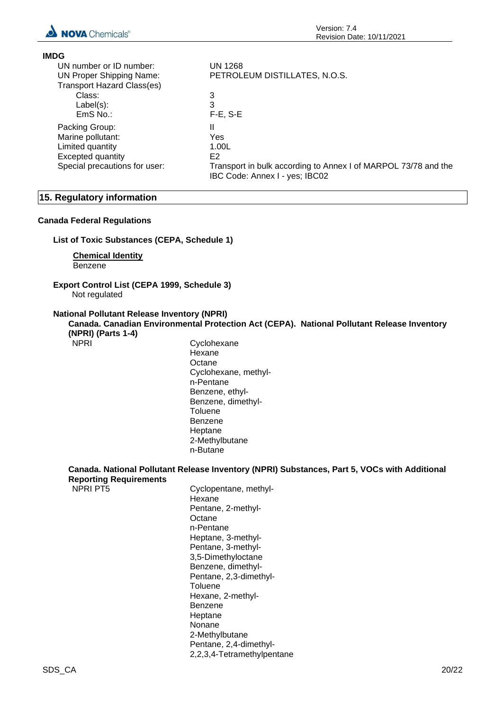

| <b>IMDG</b>                       |                                                                |
|-----------------------------------|----------------------------------------------------------------|
| UN number or ID number:           | <b>UN 1268</b>                                                 |
| <b>UN Proper Shipping Name:</b>   | PETROLEUM DISTILLATES, N.O.S.                                  |
| <b>Transport Hazard Class(es)</b> |                                                                |
| Class:                            | 3                                                              |
| $Label(s)$ :                      | 3                                                              |
| $EmS$ No.:                        | $F-E$ , S-E                                                    |
| Packing Group:                    | Ш                                                              |
| Marine pollutant:                 | Yes                                                            |
| Limited quantity                  | 1.00L                                                          |
| <b>Excepted quantity</b>          | E <sub>2</sub>                                                 |
| Special precautions for user:     | Transport in bulk according to Annex I of MARPOL 73/78 and the |
|                                   | IBC Code: Annex I - yes; IBC02                                 |

#### **15. Regulatory information**

#### **Canada Federal Regulations**

**List of Toxic Substances (CEPA, Schedule 1)**

**Chemical Identity** Benzene

#### **Export Control List (CEPA 1999, Schedule 3)** Not regulated

#### **National Pollutant Release Inventory (NPRI)**

**Canada. Canadian Environmental Protection Act (CEPA). National Pollutant Release Inventory (NPRI) (Parts 1-4)**

NPRI Cyclohexane Hexane **Octane** Cyclohexane, methyln-Pentane Benzene, ethyl-Benzene, dimethyl-**Toluene** Benzene Heptane 2-Methylbutane n-Butane

# **Canada. National Pollutant Release Inventory (NPRI) Substances, Part 5, VOCs with Additional**

| <b>Reporting Requirements</b> |                                 |
|-------------------------------|---------------------------------|
| <b>NPRI PT5</b>               | Cyclopentane, methyl-<br>Hexane |
|                               | Pentane, 2-methyl-              |
|                               | Octane                          |
|                               | n-Pentane                       |
|                               | Heptane, 3-methyl-              |
|                               | Pentane, 3-methyl-              |
|                               | 3,5-Dimethyloctane              |
|                               | Benzene, dimethyl-              |
|                               | Pentane, 2,3-dimethyl-          |
|                               | Toluene                         |
|                               | Hexane, 2-methyl-               |
|                               | Benzene                         |
|                               | Heptane                         |
|                               | Nonane                          |
|                               | 2-Methylbutane                  |
|                               | Pentane, 2,4-dimethyl-          |
|                               | 2,2,3,4-Tetramethylpentane      |
|                               |                                 |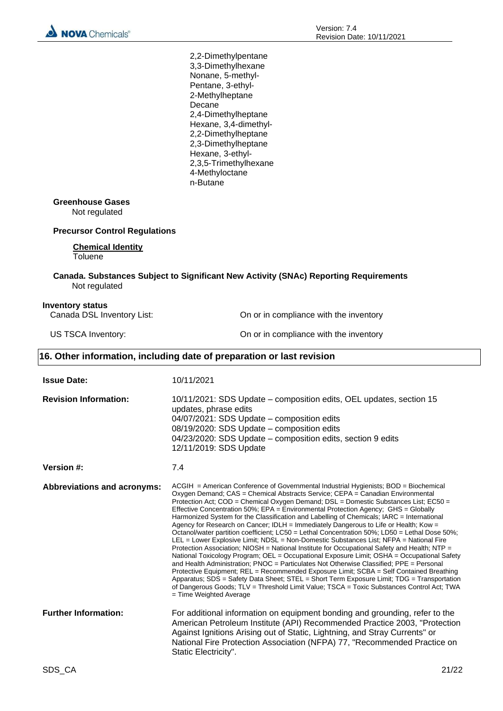2,2-Dimethylpentane 3,3-Dimethylhexane Nonane, 5-methyl-Pentane, 3-ethyl-2-Methylheptane **Decane** 2,4-Dimethylheptane Hexane, 3,4-dimethyl-2,2-Dimethylheptane 2,3-Dimethylheptane Hexane, 3-ethyl-2,3,5-Trimethylhexane 4-Methyloctane n-Butane

#### **Greenhouse Gases**

Not regulated

#### **Precursor Control Regulations**

#### **Chemical Identity**

**Toluene** 

#### **Canada. Substances Subject to Significant New Activity (SNAc) Reporting Requirements** Not regulated

#### **Inventory status**

Canada DSL Inventory List: On or in compliance with the inventory

US TSCA Inventory:  $\blacksquare$  On or in compliance with the inventory

#### **16. Other information, including date of preparation or last revision**

| <b>Issue Date:</b>                 | 10/11/2021                                                                                                                                                                                                                                                                                                                                                                                                                                                                                                                                                                                                                                                                                                                                                                                                                                                                                                                                                                                                                                                                                                                                                                                                                                                                                                                                          |
|------------------------------------|-----------------------------------------------------------------------------------------------------------------------------------------------------------------------------------------------------------------------------------------------------------------------------------------------------------------------------------------------------------------------------------------------------------------------------------------------------------------------------------------------------------------------------------------------------------------------------------------------------------------------------------------------------------------------------------------------------------------------------------------------------------------------------------------------------------------------------------------------------------------------------------------------------------------------------------------------------------------------------------------------------------------------------------------------------------------------------------------------------------------------------------------------------------------------------------------------------------------------------------------------------------------------------------------------------------------------------------------------------|
| <b>Revision Information:</b>       | 10/11/2021: SDS Update – composition edits, OEL updates, section 15<br>updates, phrase edits<br>04/07/2021: SDS Update - composition edits<br>08/19/2020: SDS Update - composition edits<br>04/23/2020: SDS Update - composition edits, section 9 edits<br>12/11/2019: SDS Update                                                                                                                                                                                                                                                                                                                                                                                                                                                                                                                                                                                                                                                                                                                                                                                                                                                                                                                                                                                                                                                                   |
| <b>Version #:</b>                  | 7.4                                                                                                                                                                                                                                                                                                                                                                                                                                                                                                                                                                                                                                                                                                                                                                                                                                                                                                                                                                                                                                                                                                                                                                                                                                                                                                                                                 |
| <b>Abbreviations and acronyms:</b> | $ACGH$ = American Conference of Governmental Industrial Hygienists; $BOD$ = Biochemical<br>Oxygen Demand; CAS = Chemical Abstracts Service; CEPA = Canadian Environmental<br>Protection Act; COD = Chemical Oxygen Demand; DSL = Domestic Substances List; EC50 =<br>Effective Concentration 50%; EPA = Environmental Protection Agency; GHS = Globally<br>Harmonized System for the Classification and Labelling of Chemicals; IARC = International<br>Agency for Research on Cancer; IDLH = Immediately Dangerous to Life or Health; Kow =<br>Octanol/water partition coefficient; LC50 = Lethal Concentration 50%; LD50 = Lethal Dose 50%;<br>LEL = Lower Explosive Limit; NDSL = Non-Domestic Substances List; NFPA = National Fire<br>Protection Association; NIOSH = National Institute for Occupational Safety and Health; NTP =<br>National Toxicology Program; OEL = Occupational Exposure Limit; OSHA = Occupational Safety<br>and Health Administration; PNOC = Particulates Not Otherwise Classified; PPE = Personal<br>Protective Equipment; REL = Recommended Exposure Limit; SCBA = Self Contained Breathing<br>Apparatus; SDS = Safety Data Sheet; STEL = Short Term Exposure Limit; TDG = Transportation<br>of Dangerous Goods; TLV = Threshold Limit Value; TSCA = Toxic Substances Control Act; TWA<br>$=$ Time Weighted Average |
| <b>Further Information:</b>        | For additional information on equipment bonding and grounding, refer to the<br>American Petroleum Institute (API) Recommended Practice 2003, "Protection<br>Against Ignitions Arising out of Static, Lightning, and Stray Currents" or<br>National Fire Protection Association (NFPA) 77, "Recommended Practice on<br>Static Electricity".                                                                                                                                                                                                                                                                                                                                                                                                                                                                                                                                                                                                                                                                                                                                                                                                                                                                                                                                                                                                          |